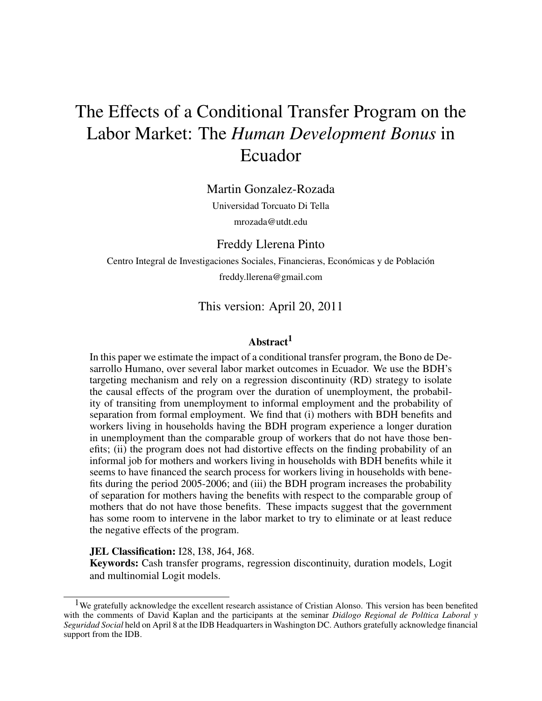# The Effects of a Conditional Transfer Program on the Labor Market: The *Human Development Bonus* in Ecuador

Martin Gonzalez-Rozada

Universidad Torcuato Di Tella mrozada@utdt.edu

Freddy Llerena Pinto

Centro Integral de Investigaciones Sociales, Financieras, Económicas y de Población freddy.llerena@gmail.com

# This version: April 20, 2011

## Abstract<sup>1</sup>

In this paper we estimate the impact of a conditional transfer program, the Bono de Desarrollo Humano, over several labor market outcomes in Ecuador. We use the BDH's targeting mechanism and rely on a regression discontinuity (RD) strategy to isolate the causal effects of the program over the duration of unemployment, the probability of transiting from unemployment to informal employment and the probability of separation from formal employment. We find that (i) mothers with BDH benefits and workers living in households having the BDH program experience a longer duration in unemployment than the comparable group of workers that do not have those benefits; (ii) the program does not had distortive effects on the finding probability of an informal job for mothers and workers living in households with BDH benefits while it seems to have financed the search process for workers living in households with benefits during the period 2005-2006; and (iii) the BDH program increases the probability of separation for mothers having the benefits with respect to the comparable group of mothers that do not have those benefits. These impacts suggest that the government has some room to intervene in the labor market to try to eliminate or at least reduce the negative effects of the program.

#### JEL Classification: I28, I38, J64, J68.

Keywords: Cash transfer programs, regression discontinuity, duration models, Logit and multinomial Logit models.

<sup>&</sup>lt;sup>1</sup>We gratefully acknowledge the excellent research assistance of Cristian Alonso. This version has been benefited with the comments of David Kaplan and the participants at the seminar *Diálogo Regional de Política Laboral* y *Seguridad Social* held on April 8 at the IDB Headquarters in Washington DC. Authors gratefully acknowledge financial support from the IDB.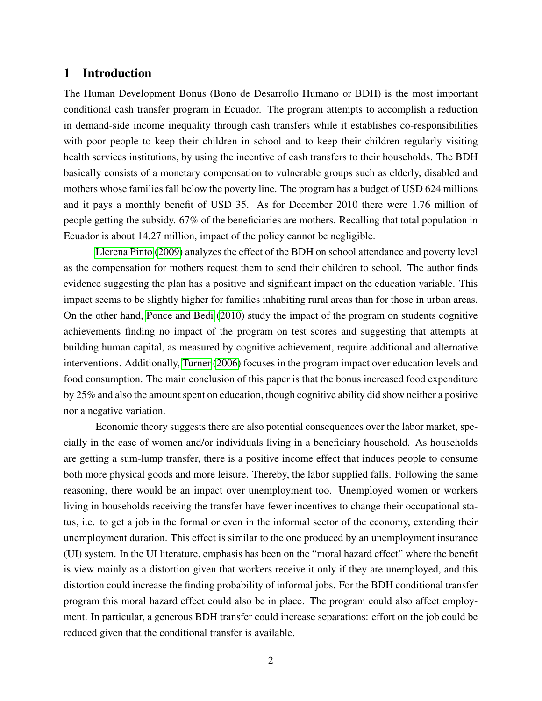# 1 Introduction

The Human Development Bonus (Bono de Desarrollo Humano or BDH) is the most important conditional cash transfer program in Ecuador. The program attempts to accomplish a reduction in demand-side income inequality through cash transfers while it establishes co-responsibilities with poor people to keep their children in school and to keep their children regularly visiting health services institutions, by using the incentive of cash transfers to their households. The BDH basically consists of a monetary compensation to vulnerable groups such as elderly, disabled and mothers whose families fall below the poverty line. The program has a budget of USD 624 millions and it pays a monthly benefit of USD 35. As for December 2010 there were 1.76 million of people getting the subsidy. 67% of the beneficiaries are mothers. Recalling that total population in Ecuador is about 14.27 million, impact of the policy cannot be negligible.

[Llerena Pinto](#page-35-0) [\(2009\)](#page-35-0) analyzes the effect of the BDH on school attendance and poverty level as the compensation for mothers request them to send their children to school. The author finds evidence suggesting the plan has a positive and significant impact on the education variable. This impact seems to be slightly higher for families inhabiting rural areas than for those in urban areas. On the other hand, [Ponce and Bedi](#page-36-0) [\(2010\)](#page-36-0) study the impact of the program on students cognitive achievements finding no impact of the program on test scores and suggesting that attempts at building human capital, as measured by cognitive achievement, require additional and alternative interventions. Additionally, [Turner](#page-36-1) [\(2006\)](#page-36-1) focuses in the program impact over education levels and food consumption. The main conclusion of this paper is that the bonus increased food expenditure by 25% and also the amount spent on education, though cognitive ability did show neither a positive nor a negative variation.

Economic theory suggests there are also potential consequences over the labor market, specially in the case of women and/or individuals living in a beneficiary household. As households are getting a sum-lump transfer, there is a positive income effect that induces people to consume both more physical goods and more leisure. Thereby, the labor supplied falls. Following the same reasoning, there would be an impact over unemployment too. Unemployed women or workers living in households receiving the transfer have fewer incentives to change their occupational status, i.e. to get a job in the formal or even in the informal sector of the economy, extending their unemployment duration. This effect is similar to the one produced by an unemployment insurance (UI) system. In the UI literature, emphasis has been on the "moral hazard effect" where the benefit is view mainly as a distortion given that workers receive it only if they are unemployed, and this distortion could increase the finding probability of informal jobs. For the BDH conditional transfer program this moral hazard effect could also be in place. The program could also affect employment. In particular, a generous BDH transfer could increase separations: effort on the job could be reduced given that the conditional transfer is available.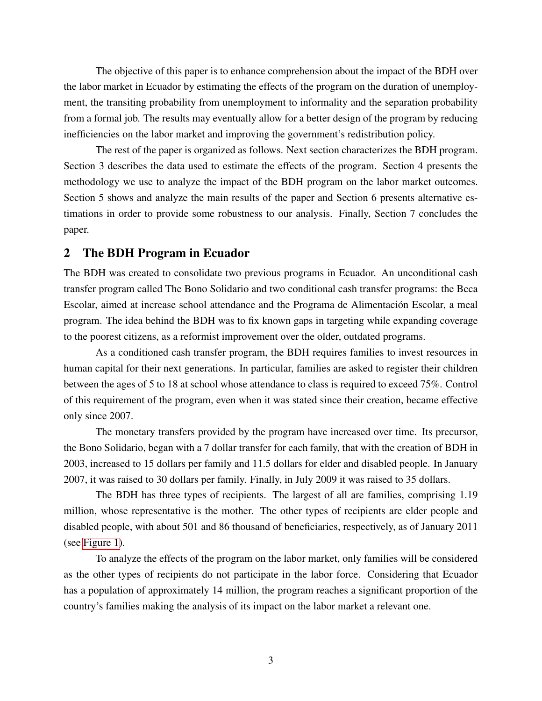The objective of this paper is to enhance comprehension about the impact of the BDH over the labor market in Ecuador by estimating the effects of the program on the duration of unemployment, the transiting probability from unemployment to informality and the separation probability from a formal job. The results may eventually allow for a better design of the program by reducing inefficiencies on the labor market and improving the government's redistribution policy.

The rest of the paper is organized as follows. Next section characterizes the BDH program. Section 3 describes the data used to estimate the effects of the program. Section 4 presents the methodology we use to analyze the impact of the BDH program on the labor market outcomes. Section 5 shows and analyze the main results of the paper and Section 6 presents alternative estimations in order to provide some robustness to our analysis. Finally, Section 7 concludes the paper.

## 2 The BDH Program in Ecuador

The BDH was created to consolidate two previous programs in Ecuador. An unconditional cash transfer program called The Bono Solidario and two conditional cash transfer programs: the Beca Escolar, aimed at increase school attendance and the Programa de Alimentacion Escolar, a meal ´ program. The idea behind the BDH was to fix known gaps in targeting while expanding coverage to the poorest citizens, as a reformist improvement over the older, outdated programs.

As a conditioned cash transfer program, the BDH requires families to invest resources in human capital for their next generations. In particular, families are asked to register their children between the ages of 5 to 18 at school whose attendance to class is required to exceed 75%. Control of this requirement of the program, even when it was stated since their creation, became effective only since 2007.

The monetary transfers provided by the program have increased over time. Its precursor, the Bono Solidario, began with a 7 dollar transfer for each family, that with the creation of BDH in 2003, increased to 15 dollars per family and 11.5 dollars for elder and disabled people. In January 2007, it was raised to 30 dollars per family. Finally, in July 2009 it was raised to 35 dollars.

The BDH has three types of recipients. The largest of all are families, comprising 1.19 million, whose representative is the mother. The other types of recipients are elder people and disabled people, with about 501 and 86 thousand of beneficiaries, respectively, as of January 2011 (see [Figure 1\)](#page-3-0).

To analyze the effects of the program on the labor market, only families will be considered as the other types of recipients do not participate in the labor force. Considering that Ecuador has a population of approximately 14 million, the program reaches a significant proportion of the country's families making the analysis of its impact on the labor market a relevant one.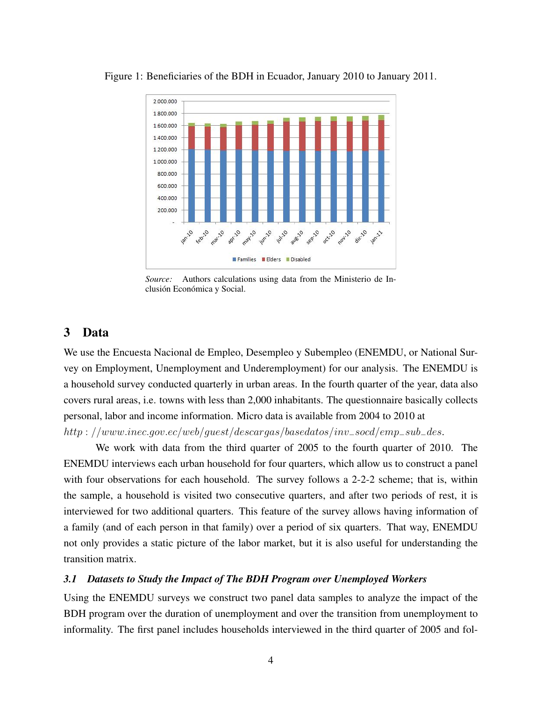<span id="page-3-0"></span>

Figure 1: Beneficiaries of the BDH in Ecuador, January 2010 to January 2011.

*Source:* Authors calculations using data from the Ministerio de Inclusión Económica y Social.

# 3 Data

We use the Encuesta Nacional de Empleo, Desempleo y Subempleo (ENEMDU, or National Survey on Employment, Unemployment and Underemployment) for our analysis. The ENEMDU is a household survey conducted quarterly in urban areas. In the fourth quarter of the year, data also covers rural areas, i.e. towns with less than 2,000 inhabitants. The questionnaire basically collects personal, labor and income information. Micro data is available from 2004 to 2010 at

http : //www.inec.gov.ec/web/guest/descargas/basedatos/inv−socd/emp−sub−des.

We work with data from the third quarter of 2005 to the fourth quarter of 2010. The ENEMDU interviews each urban household for four quarters, which allow us to construct a panel with four observations for each household. The survey follows a 2-2-2 scheme; that is, within the sample, a household is visited two consecutive quarters, and after two periods of rest, it is interviewed for two additional quarters. This feature of the survey allows having information of a family (and of each person in that family) over a period of six quarters. That way, ENEMDU not only provides a static picture of the labor market, but it is also useful for understanding the transition matrix.

## *3.1 Datasets to Study the Impact of The BDH Program over Unemployed Workers*

Using the ENEMDU surveys we construct two panel data samples to analyze the impact of the BDH program over the duration of unemployment and over the transition from unemployment to informality. The first panel includes households interviewed in the third quarter of 2005 and fol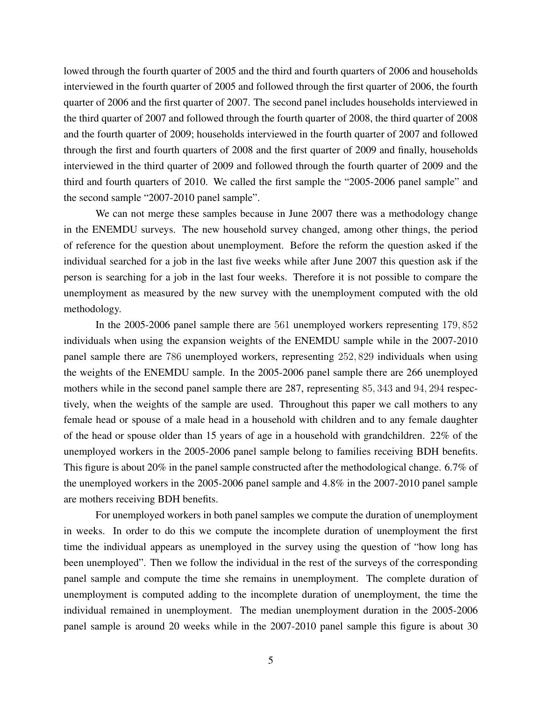lowed through the fourth quarter of 2005 and the third and fourth quarters of 2006 and households interviewed in the fourth quarter of 2005 and followed through the first quarter of 2006, the fourth quarter of 2006 and the first quarter of 2007. The second panel includes households interviewed in the third quarter of 2007 and followed through the fourth quarter of 2008, the third quarter of 2008 and the fourth quarter of 2009; households interviewed in the fourth quarter of 2007 and followed through the first and fourth quarters of 2008 and the first quarter of 2009 and finally, households interviewed in the third quarter of 2009 and followed through the fourth quarter of 2009 and the third and fourth quarters of 2010. We called the first sample the "2005-2006 panel sample" and the second sample "2007-2010 panel sample".

We can not merge these samples because in June 2007 there was a methodology change in the ENEMDU surveys. The new household survey changed, among other things, the period of reference for the question about unemployment. Before the reform the question asked if the individual searched for a job in the last five weeks while after June 2007 this question ask if the person is searching for a job in the last four weeks. Therefore it is not possible to compare the unemployment as measured by the new survey with the unemployment computed with the old methodology.

In the 2005-2006 panel sample there are 561 unemployed workers representing 179, 852 individuals when using the expansion weights of the ENEMDU sample while in the 2007-2010 panel sample there are 786 unemployed workers, representing 252, 829 individuals when using the weights of the ENEMDU sample. In the 2005-2006 panel sample there are 266 unemployed mothers while in the second panel sample there are 287, representing 85, 343 and 94, 294 respectively, when the weights of the sample are used. Throughout this paper we call mothers to any female head or spouse of a male head in a household with children and to any female daughter of the head or spouse older than 15 years of age in a household with grandchildren. 22% of the unemployed workers in the 2005-2006 panel sample belong to families receiving BDH benefits. This figure is about 20% in the panel sample constructed after the methodological change. 6.7% of the unemployed workers in the 2005-2006 panel sample and 4.8% in the 2007-2010 panel sample are mothers receiving BDH benefits.

For unemployed workers in both panel samples we compute the duration of unemployment in weeks. In order to do this we compute the incomplete duration of unemployment the first time the individual appears as unemployed in the survey using the question of "how long has been unemployed". Then we follow the individual in the rest of the surveys of the corresponding panel sample and compute the time she remains in unemployment. The complete duration of unemployment is computed adding to the incomplete duration of unemployment, the time the individual remained in unemployment. The median unemployment duration in the 2005-2006 panel sample is around 20 weeks while in the 2007-2010 panel sample this figure is about 30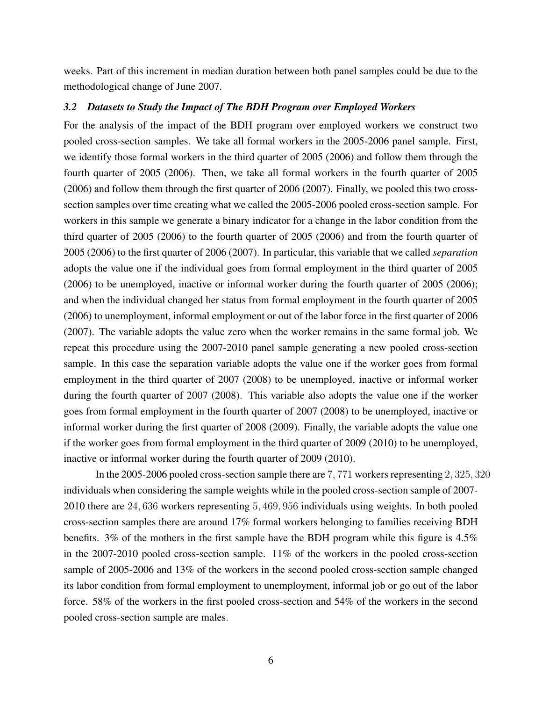weeks. Part of this increment in median duration between both panel samples could be due to the methodological change of June 2007.

## <span id="page-5-0"></span>*3.2 Datasets to Study the Impact of The BDH Program over Employed Workers*

For the analysis of the impact of the BDH program over employed workers we construct two pooled cross-section samples. We take all formal workers in the 2005-2006 panel sample. First, we identify those formal workers in the third quarter of 2005 (2006) and follow them through the fourth quarter of 2005 (2006). Then, we take all formal workers in the fourth quarter of 2005 (2006) and follow them through the first quarter of 2006 (2007). Finally, we pooled this two crosssection samples over time creating what we called the 2005-2006 pooled cross-section sample. For workers in this sample we generate a binary indicator for a change in the labor condition from the third quarter of 2005 (2006) to the fourth quarter of 2005 (2006) and from the fourth quarter of 2005 (2006) to the first quarter of 2006 (2007). In particular, this variable that we called *separation* adopts the value one if the individual goes from formal employment in the third quarter of 2005 (2006) to be unemployed, inactive or informal worker during the fourth quarter of 2005 (2006); and when the individual changed her status from formal employment in the fourth quarter of 2005 (2006) to unemployment, informal employment or out of the labor force in the first quarter of 2006 (2007). The variable adopts the value zero when the worker remains in the same formal job. We repeat this procedure using the 2007-2010 panel sample generating a new pooled cross-section sample. In this case the separation variable adopts the value one if the worker goes from formal employment in the third quarter of 2007 (2008) to be unemployed, inactive or informal worker during the fourth quarter of 2007 (2008). This variable also adopts the value one if the worker goes from formal employment in the fourth quarter of 2007 (2008) to be unemployed, inactive or informal worker during the first quarter of 2008 (2009). Finally, the variable adopts the value one if the worker goes from formal employment in the third quarter of 2009 (2010) to be unemployed, inactive or informal worker during the fourth quarter of 2009 (2010).

In the 2005-2006 pooled cross-section sample there are 7, 771 workers representing 2, 325, 320 individuals when considering the sample weights while in the pooled cross-section sample of 2007- 2010 there are 24, 636 workers representing 5, 469, 956 individuals using weights. In both pooled cross-section samples there are around 17% formal workers belonging to families receiving BDH benefits. 3% of the mothers in the first sample have the BDH program while this figure is 4.5% in the 2007-2010 pooled cross-section sample. 11% of the workers in the pooled cross-section sample of 2005-2006 and 13% of the workers in the second pooled cross-section sample changed its labor condition from formal employment to unemployment, informal job or go out of the labor force. 58% of the workers in the first pooled cross-section and 54% of the workers in the second pooled cross-section sample are males.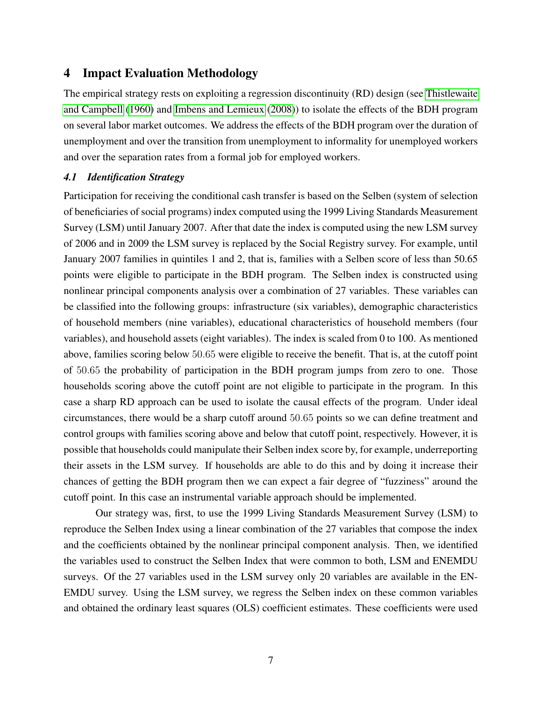# 4 Impact Evaluation Methodology

The empirical strategy rests on exploiting a regression discontinuity (RD) design (see [Thistlewaite](#page-36-2) [and Campbell](#page-36-2) [\(1960\)](#page-36-2) and [Imbens and Lemieux](#page-35-1) [\(2008\)](#page-35-1)) to isolate the effects of the BDH program on several labor market outcomes. We address the effects of the BDH program over the duration of unemployment and over the transition from unemployment to informality for unemployed workers and over the separation rates from a formal job for employed workers.

## <span id="page-6-0"></span>*4.1 Identification Strategy*

Participation for receiving the conditional cash transfer is based on the Selben (system of selection of beneficiaries of social programs) index computed using the 1999 Living Standards Measurement Survey (LSM) until January 2007. After that date the index is computed using the new LSM survey of 2006 and in 2009 the LSM survey is replaced by the Social Registry survey. For example, until January 2007 families in quintiles 1 and 2, that is, families with a Selben score of less than 50.65 points were eligible to participate in the BDH program. The Selben index is constructed using nonlinear principal components analysis over a combination of 27 variables. These variables can be classified into the following groups: infrastructure (six variables), demographic characteristics of household members (nine variables), educational characteristics of household members (four variables), and household assets (eight variables). The index is scaled from 0 to 100. As mentioned above, families scoring below 50.65 were eligible to receive the benefit. That is, at the cutoff point of 50.65 the probability of participation in the BDH program jumps from zero to one. Those households scoring above the cutoff point are not eligible to participate in the program. In this case a sharp RD approach can be used to isolate the causal effects of the program. Under ideal circumstances, there would be a sharp cutoff around 50.65 points so we can define treatment and control groups with families scoring above and below that cutoff point, respectively. However, it is possible that households could manipulate their Selben index score by, for example, underreporting their assets in the LSM survey. If households are able to do this and by doing it increase their chances of getting the BDH program then we can expect a fair degree of "fuzziness" around the cutoff point. In this case an instrumental variable approach should be implemented.

Our strategy was, first, to use the 1999 Living Standards Measurement Survey (LSM) to reproduce the Selben Index using a linear combination of the 27 variables that compose the index and the coefficients obtained by the nonlinear principal component analysis. Then, we identified the variables used to construct the Selben Index that were common to both, LSM and ENEMDU surveys. Of the 27 variables used in the LSM survey only 20 variables are available in the EN-EMDU survey. Using the LSM survey, we regress the Selben index on these common variables and obtained the ordinary least squares (OLS) coefficient estimates. These coefficients were used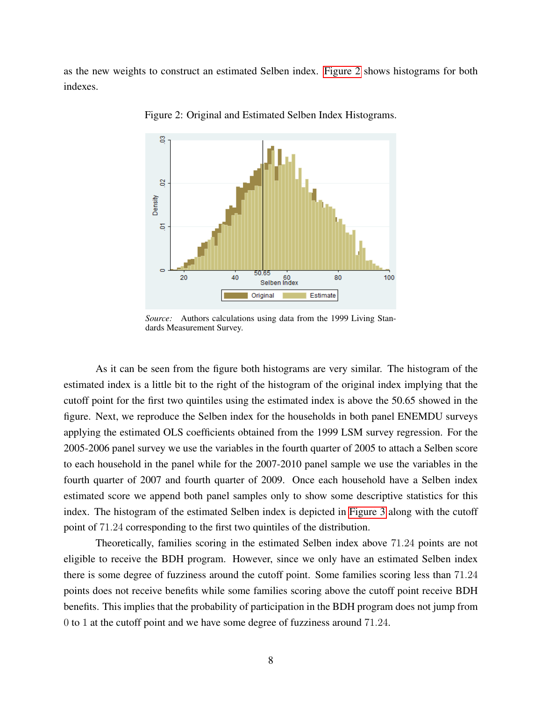as the new weights to construct an estimated Selben index. [Figure 2](#page-7-0) shows histograms for both indexes.



<span id="page-7-0"></span>Figure 2: Original and Estimated Selben Index Histograms.

*Source:* Authors calculations using data from the 1999 Living Standards Measurement Survey.

As it can be seen from the figure both histograms are very similar. The histogram of the estimated index is a little bit to the right of the histogram of the original index implying that the cutoff point for the first two quintiles using the estimated index is above the 50.65 showed in the figure. Next, we reproduce the Selben index for the households in both panel ENEMDU surveys applying the estimated OLS coefficients obtained from the 1999 LSM survey regression. For the 2005-2006 panel survey we use the variables in the fourth quarter of 2005 to attach a Selben score to each household in the panel while for the 2007-2010 panel sample we use the variables in the fourth quarter of 2007 and fourth quarter of 2009. Once each household have a Selben index estimated score we append both panel samples only to show some descriptive statistics for this index. The histogram of the estimated Selben index is depicted in [Figure 3](#page-8-0) along with the cutoff point of 71.24 corresponding to the first two quintiles of the distribution.

Theoretically, families scoring in the estimated Selben index above 71.24 points are not eligible to receive the BDH program. However, since we only have an estimated Selben index there is some degree of fuzziness around the cutoff point. Some families scoring less than 71.24 points does not receive benefits while some families scoring above the cutoff point receive BDH benefits. This implies that the probability of participation in the BDH program does not jump from 0 to 1 at the cutoff point and we have some degree of fuzziness around 71.24.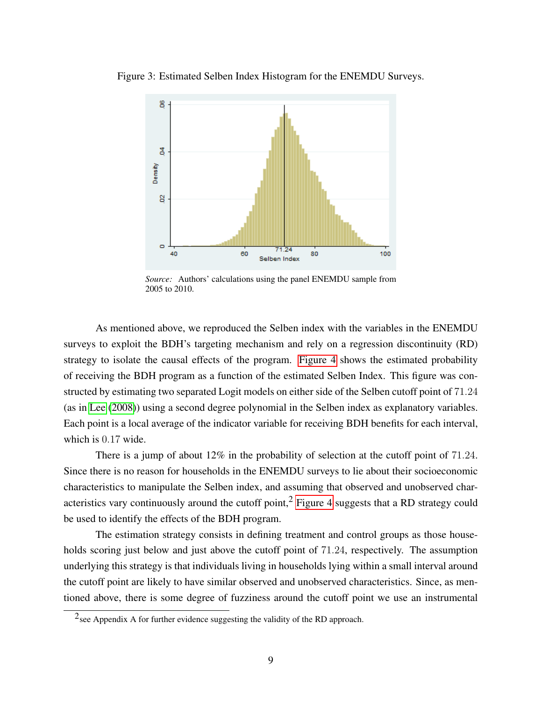

<span id="page-8-0"></span>

*Source:* Authors' calculations using the panel ENEMDU sample from 2005 to 2010.

As mentioned above, we reproduced the Selben index with the variables in the ENEMDU surveys to exploit the BDH's targeting mechanism and rely on a regression discontinuity (RD) strategy to isolate the causal effects of the program. [Figure 4](#page-9-0) shows the estimated probability of receiving the BDH program as a function of the estimated Selben Index. This figure was constructed by estimating two separated Logit models on either side of the Selben cutoff point of 71.24 (as in [Lee](#page-35-2) [\(2008\)](#page-35-2)) using a second degree polynomial in the Selben index as explanatory variables. Each point is a local average of the indicator variable for receiving BDH benefits for each interval, which is 0.17 wide.

There is a jump of about 12% in the probability of selection at the cutoff point of 71.24. Since there is no reason for households in the ENEMDU surveys to lie about their socioeconomic characteristics to manipulate the Selben index, and assuming that observed and unobserved char-acteristics vary continuously around the cutoff point,<sup>2</sup> [Figure 4](#page-9-0) suggests that a RD strategy could be used to identify the effects of the BDH program.

The estimation strategy consists in defining treatment and control groups as those households scoring just below and just above the cutoff point of 71.24, respectively. The assumption underlying this strategy is that individuals living in households lying within a small interval around the cutoff point are likely to have similar observed and unobserved characteristics. Since, as mentioned above, there is some degree of fuzziness around the cutoff point we use an instrumental

<sup>&</sup>lt;sup>2</sup>see Appendix A for further evidence suggesting the validity of the RD approach.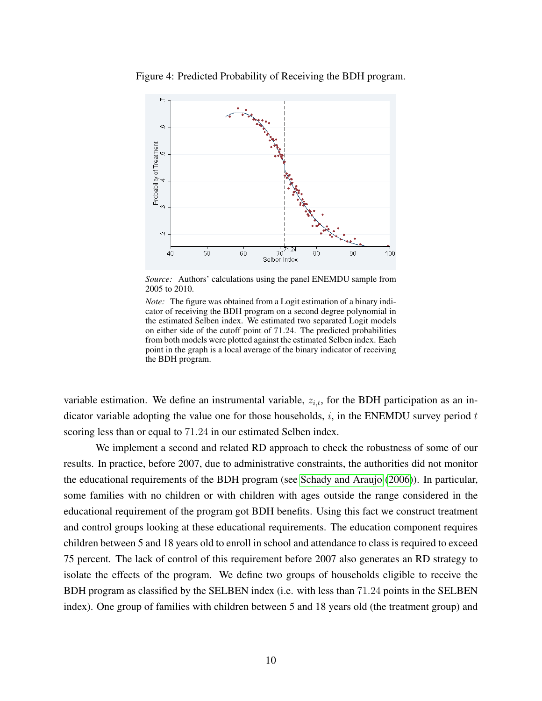<span id="page-9-0"></span>

Figure 4: Predicted Probability of Receiving the BDH program.

*Source:* Authors' calculations using the panel ENEMDU sample from 2005 to 2010.

*Note:* The figure was obtained from a Logit estimation of a binary indicator of receiving the BDH program on a second degree polynomial in the estimated Selben index. We estimated two separated Logit models on either side of the cutoff point of 71.24. The predicted probabilities from both models were plotted against the estimated Selben index. Each point in the graph is a local average of the binary indicator of receiving the BDH program.

variable estimation. We define an instrumental variable,  $z_{i,t}$ , for the BDH participation as an indicator variable adopting the value one for those households,  $i$ , in the ENEMDU survey period  $t$ scoring less than or equal to 71.24 in our estimated Selben index.

We implement a second and related RD approach to check the robustness of some of our results. In practice, before 2007, due to administrative constraints, the authorities did not monitor the educational requirements of the BDH program (see [Schady and Araujo](#page-36-3) [\(2006\)](#page-36-3)). In particular, some families with no children or with children with ages outside the range considered in the educational requirement of the program got BDH benefits. Using this fact we construct treatment and control groups looking at these educational requirements. The education component requires children between 5 and 18 years old to enroll in school and attendance to class is required to exceed 75 percent. The lack of control of this requirement before 2007 also generates an RD strategy to isolate the effects of the program. We define two groups of households eligible to receive the BDH program as classified by the SELBEN index (i.e. with less than 71.24 points in the SELBEN index). One group of families with children between 5 and 18 years old (the treatment group) and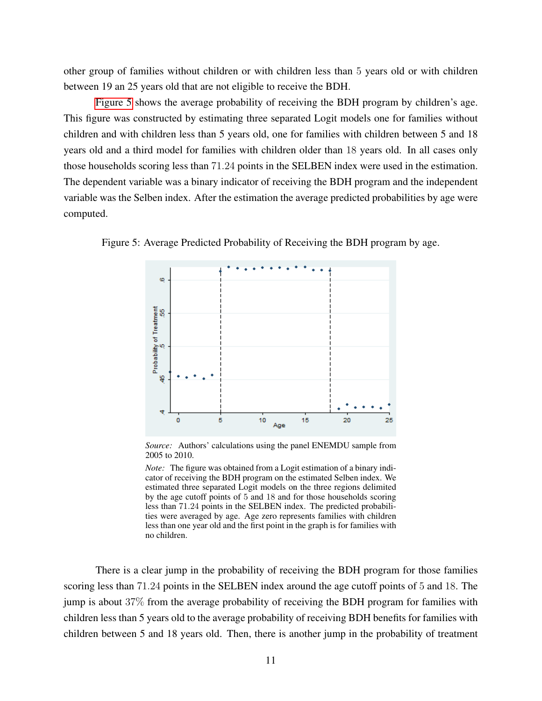other group of families without children or with children less than 5 years old or with children between 19 an 25 years old that are not eligible to receive the BDH.

[Figure 5](#page-10-0) shows the average probability of receiving the BDH program by children's age. This figure was constructed by estimating three separated Logit models one for families without children and with children less than 5 years old, one for families with children between 5 and 18 years old and a third model for families with children older than 18 years old. In all cases only those households scoring less than 71.24 points in the SELBEN index were used in the estimation. The dependent variable was a binary indicator of receiving the BDH program and the independent variable was the Selben index. After the estimation the average predicted probabilities by age were computed.

Figure 5: Average Predicted Probability of Receiving the BDH program by age.

<span id="page-10-0"></span>

*Source:* Authors' calculations using the panel ENEMDU sample from 2005 to 2010.

*Note:* The figure was obtained from a Logit estimation of a binary indicator of receiving the BDH program on the estimated Selben index. We estimated three separated Logit models on the three regions delimited by the age cutoff points of 5 and 18 and for those households scoring less than 71.24 points in the SELBEN index. The predicted probabilities were averaged by age. Age zero represents families with children less than one year old and the first point in the graph is for families with no children.

There is a clear jump in the probability of receiving the BDH program for those families scoring less than 71.24 points in the SELBEN index around the age cutoff points of 5 and 18. The jump is about 37% from the average probability of receiving the BDH program for families with children less than 5 years old to the average probability of receiving BDH benefits for families with children between 5 and 18 years old. Then, there is another jump in the probability of treatment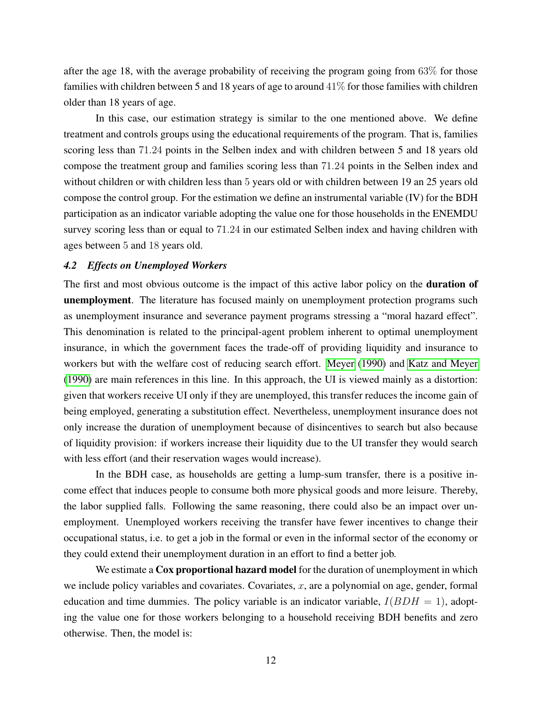after the age 18, with the average probability of receiving the program going from 63% for those families with children between 5 and 18 years of age to around  $41\%$  for those families with children older than 18 years of age.

In this case, our estimation strategy is similar to the one mentioned above. We define treatment and controls groups using the educational requirements of the program. That is, families scoring less than 71.24 points in the Selben index and with children between 5 and 18 years old compose the treatment group and families scoring less than 71.24 points in the Selben index and without children or with children less than 5 years old or with children between 19 an 25 years old compose the control group. For the estimation we define an instrumental variable (IV) for the BDH participation as an indicator variable adopting the value one for those households in the ENEMDU survey scoring less than or equal to 71.24 in our estimated Selben index and having children with ages between 5 and 18 years old.

#### *4.2 Effects on Unemployed Workers*

The first and most obvious outcome is the impact of this active labor policy on the **duration of** unemployment. The literature has focused mainly on unemployment protection programs such as unemployment insurance and severance payment programs stressing a "moral hazard effect". This denomination is related to the principal-agent problem inherent to optimal unemployment insurance, in which the government faces the trade-off of providing liquidity and insurance to workers but with the welfare cost of reducing search effort. [Meyer](#page-35-3) [\(1990\)](#page-35-3) and [Katz and Meyer](#page-35-4) [\(1990\)](#page-35-4) are main references in this line. In this approach, the UI is viewed mainly as a distortion: given that workers receive UI only if they are unemployed, this transfer reduces the income gain of being employed, generating a substitution effect. Nevertheless, unemployment insurance does not only increase the duration of unemployment because of disincentives to search but also because of liquidity provision: if workers increase their liquidity due to the UI transfer they would search with less effort (and their reservation wages would increase).

In the BDH case, as households are getting a lump-sum transfer, there is a positive income effect that induces people to consume both more physical goods and more leisure. Thereby, the labor supplied falls. Following the same reasoning, there could also be an impact over unemployment. Unemployed workers receiving the transfer have fewer incentives to change their occupational status, i.e. to get a job in the formal or even in the informal sector of the economy or they could extend their unemployment duration in an effort to find a better job.

We estimate a Cox proportional hazard model for the duration of unemployment in which we include policy variables and covariates. Covariates,  $x$ , are a polynomial on age, gender, formal education and time dummies. The policy variable is an indicator variable,  $I(BDH = 1)$ , adopting the value one for those workers belonging to a household receiving BDH benefits and zero otherwise. Then, the model is: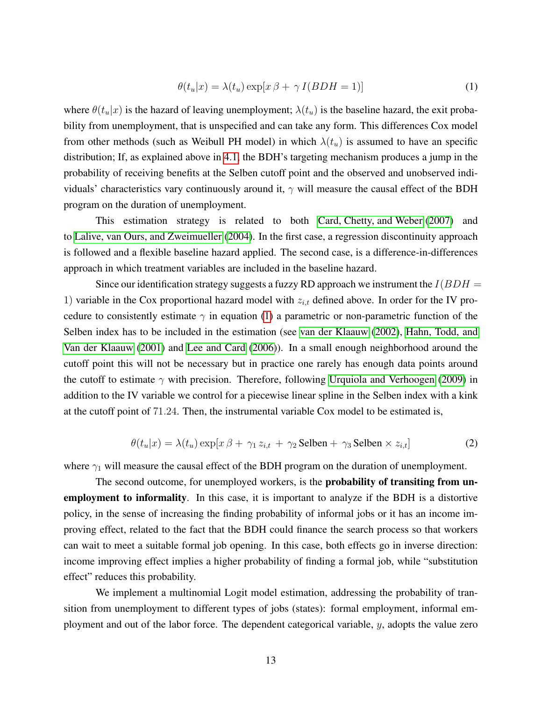<span id="page-12-0"></span>
$$
\theta(t_u|x) = \lambda(t_u) \exp[x \beta + \gamma I(BDH = 1)] \tag{1}
$$

where  $\theta(t_u|x)$  is the hazard of leaving unemployment;  $\lambda(t_u)$  is the baseline hazard, the exit probability from unemployment, that is unspecified and can take any form. This differences Cox model from other methods (such as Weibull PH model) in which  $\lambda(t_u)$  is assumed to have an specific distribution; If, as explained above in [4.1,](#page-6-0) the BDH's targeting mechanism produces a jump in the probability of receiving benefits at the Selben cutoff point and the observed and unobserved individuals' characteristics vary continuously around it,  $\gamma$  will measure the causal effect of the BDH program on the duration of unemployment.

This estimation strategy is related to both [Card, Chetty, and Weber](#page-35-5) [\(2007\)](#page-35-5) and to [Lalive, van Ours, and Zweimueller](#page-35-6) [\(2004\)](#page-35-6). In the first case, a regression discontinuity approach is followed and a flexible baseline hazard applied. The second case, is a difference-in-differences approach in which treatment variables are included in the baseline hazard.

Since our identification strategy suggests a fuzzy RD approach we instrument the  $I(BDH =$ 1) variable in the Cox proportional hazard model with  $z_{i,t}$  defined above. In order for the IV procedure to consistently estimate  $\gamma$  in equation [\(1\)](#page-12-0) a parametric or non-parametric function of the Selben index has to be included in the estimation (see [van der Klaauw](#page-36-4) [\(2002\)](#page-36-4), [Hahn, Todd, and](#page-35-7) [Van der Klaauw](#page-35-7) [\(2001\)](#page-35-7) and [Lee and Card](#page-35-8) [\(2006\)](#page-35-8)). In a small enough neighborhood around the cutoff point this will not be necessary but in practice one rarely has enough data points around the cutoff to estimate  $\gamma$  with precision. Therefore, following [Urquiola and Verhoogen](#page-36-5) [\(2009\)](#page-36-5) in addition to the IV variable we control for a piecewise linear spline in the Selben index with a kink at the cutoff point of 71.24. Then, the instrumental variable Cox model to be estimated is,

<span id="page-12-1"></span>
$$
\theta(t_u|x) = \lambda(t_u) \exp[x \beta + \gamma_1 z_{i,t} + \gamma_2 \text{Selben} + \gamma_3 \text{Selben} \times z_{i,t}] \tag{2}
$$

where  $\gamma_1$  will measure the causal effect of the BDH program on the duration of unemployment.

The second outcome, for unemployed workers, is the **probability of transiting from un**employment to informality. In this case, it is important to analyze if the BDH is a distortive policy, in the sense of increasing the finding probability of informal jobs or it has an income improving effect, related to the fact that the BDH could finance the search process so that workers can wait to meet a suitable formal job opening. In this case, both effects go in inverse direction: income improving effect implies a higher probability of finding a formal job, while "substitution effect" reduces this probability.

We implement a multinomial Logit model estimation, addressing the probability of transition from unemployment to different types of jobs (states): formal employment, informal employment and out of the labor force. The dependent categorical variable, y, adopts the value zero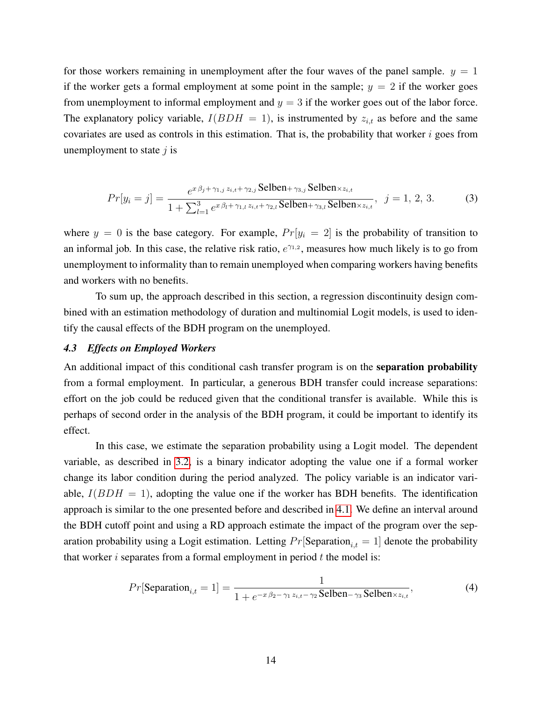for those workers remaining in unemployment after the four waves of the panel sample.  $y = 1$ if the worker gets a formal employment at some point in the sample;  $y = 2$  if the worker goes from unemployment to informal employment and  $y = 3$  if the worker goes out of the labor force. The explanatory policy variable,  $I(BDH = 1)$ , is instrumented by  $z_{i,t}$  as before and the same covariates are used as controls in this estimation. That is, the probability that worker  $i$  goes from unemployment to state  $j$  is

$$
Pr[y_i = j] = \frac{e^{x\beta_j + \gamma_{1,j} z_{i,t} + \gamma_{2,j}} \text{Selben} + \gamma_{3,j} \text{Selben} \times z_{i,t}}{1 + \sum_{l=1}^{3} e^{x\beta_l + \gamma_{1,l} z_{i,t} + \gamma_{2,l}} \text{Selben} + \gamma_{3,l} \text{Selben} \times z_{i,t}}, \quad j = 1, 2, 3. \tag{3}
$$

where  $y = 0$  is the base category. For example,  $Pr[y_i = 2]$  is the probability of transition to an informal job. In this case, the relative risk ratio,  $e^{\gamma_{1,2}}$ , measures how much likely is to go from unemployment to informality than to remain unemployed when comparing workers having benefits and workers with no benefits.

To sum up, the approach described in this section, a regression discontinuity design combined with an estimation methodology of duration and multinomial Logit models, is used to identify the causal effects of the BDH program on the unemployed.

## *4.3 Effects on Employed Workers*

An additional impact of this conditional cash transfer program is on the separation probability from a formal employment. In particular, a generous BDH transfer could increase separations: effort on the job could be reduced given that the conditional transfer is available. While this is perhaps of second order in the analysis of the BDH program, it could be important to identify its effect.

In this case, we estimate the separation probability using a Logit model. The dependent variable, as described in [3.2,](#page-5-0) is a binary indicator adopting the value one if a formal worker change its labor condition during the period analyzed. The policy variable is an indicator variable,  $I(BDH = 1)$ , adopting the value one if the worker has BDH benefits. The identification approach is similar to the one presented before and described in [4.1.](#page-6-0) We define an interval around the BDH cutoff point and using a RD approach estimate the impact of the program over the separation probability using a Logit estimation. Letting  $Pr[\text{Separation}_{i,t} = 1]$  denote the probability that worker i separates from a formal employment in period  $t$  the model is:

$$
Pr[\text{Separation}_{i,t} = 1] = \frac{1}{1 + e^{-x\beta_2 - \gamma_1 z_{i,t} - \gamma_2} \text{Selben} - \gamma_3 \text{Selben} \times z_{i,t}},\tag{4}
$$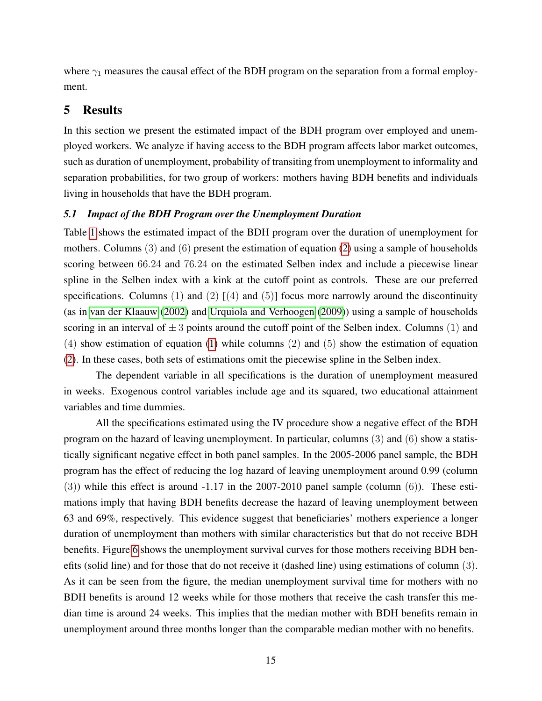where  $\gamma_1$  measures the causal effect of the BDH program on the separation from a formal employment.

# 5 Results

In this section we present the estimated impact of the BDH program over employed and unemployed workers. We analyze if having access to the BDH program affects labor market outcomes, such as duration of unemployment, probability of transiting from unemployment to informality and separation probabilities, for two group of workers: mothers having BDH benefits and individuals living in households that have the BDH program.

#### <span id="page-14-0"></span>*5.1 Impact of the BDH Program over the Unemployment Duration*

Table [1](#page-15-0) shows the estimated impact of the BDH program over the duration of unemployment for mothers. Columns (3) and (6) present the estimation of equation [\(2\)](#page-12-1) using a sample of households scoring between 66.24 and 76.24 on the estimated Selben index and include a piecewise linear spline in the Selben index with a kink at the cutoff point as controls. These are our preferred specifications. Columns (1) and (2)  $[(4)$  and (5)] focus more narrowly around the discontinuity (as in [van der Klaauw](#page-36-4) [\(2002\)](#page-36-4) and [Urquiola and Verhoogen](#page-36-5) [\(2009\)](#page-36-5)) using a sample of households scoring in an interval of  $\pm 3$  points around the cutoff point of the Selben index. Columns (1) and (4) show estimation of equation [\(1\)](#page-12-0) while columns (2) and (5) show the estimation of equation [\(2\)](#page-12-1). In these cases, both sets of estimations omit the piecewise spline in the Selben index.

The dependent variable in all specifications is the duration of unemployment measured in weeks. Exogenous control variables include age and its squared, two educational attainment variables and time dummies.

All the specifications estimated using the IV procedure show a negative effect of the BDH program on the hazard of leaving unemployment. In particular, columns (3) and (6) show a statistically significant negative effect in both panel samples. In the 2005-2006 panel sample, the BDH program has the effect of reducing the log hazard of leaving unemployment around 0.99 (column  $(3)$ ) while this effect is around -1.17 in the 2007-2010 panel sample (column  $(6)$ ). These estimations imply that having BDH benefits decrease the hazard of leaving unemployment between 63 and 69%, respectively. This evidence suggest that beneficiaries' mothers experience a longer duration of unemployment than mothers with similar characteristics but that do not receive BDH benefits. Figure [6](#page-16-0) shows the unemployment survival curves for those mothers receiving BDH benefits (solid line) and for those that do not receive it (dashed line) using estimations of column (3). As it can be seen from the figure, the median unemployment survival time for mothers with no BDH benefits is around 12 weeks while for those mothers that receive the cash transfer this median time is around 24 weeks. This implies that the median mother with BDH benefits remain in unemployment around three months longer than the comparable median mother with no benefits.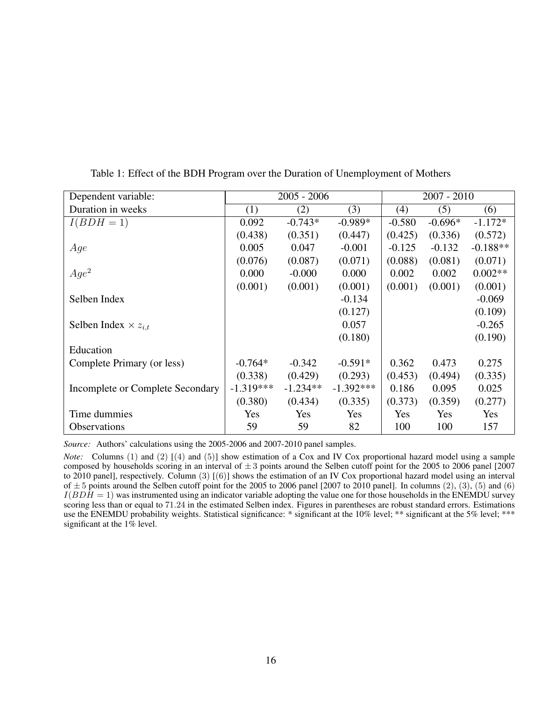| Dependent variable:              |             | $2005 - 2006$ |             |          | $2007 - 2010$ |            |
|----------------------------------|-------------|---------------|-------------|----------|---------------|------------|
| Duration in weeks                | (1)         | (2)           | (3)         | (4)      | (5)           | (6)        |
| $I(BDH=1)$                       | 0.092       | $-0.743*$     | $-0.989*$   | $-0.580$ | $-0.696*$     | $-1.172*$  |
|                                  | (0.438)     | (0.351)       | (0.447)     | (0.425)  | (0.336)       | (0.572)    |
| Age                              | 0.005       | 0.047         | $-0.001$    | $-0.125$ | $-0.132$      | $-0.188**$ |
|                                  | (0.076)     | (0.087)       | (0.071)     | (0.088)  | (0.081)       | (0.071)    |
| $Age^2$                          | 0.000       | $-0.000$      | 0.000       | 0.002    | 0.002         | $0.002**$  |
|                                  | (0.001)     | (0.001)       | (0.001)     | (0.001)  | (0.001)       | (0.001)    |
| Selben Index                     |             |               | $-0.134$    |          |               | $-0.069$   |
|                                  |             |               | (0.127)     |          |               | (0.109)    |
| Selben Index $\times z_{i,t}$    |             |               | 0.057       |          |               | $-0.265$   |
|                                  |             |               | (0.180)     |          |               | (0.190)    |
| Education                        |             |               |             |          |               |            |
| Complete Primary (or less)       | $-0.764*$   | $-0.342$      | $-0.591*$   | 0.362    | 0.473         | 0.275      |
|                                  | (0.338)     | (0.429)       | (0.293)     | (0.453)  | (0.494)       | (0.335)    |
| Incomplete or Complete Secondary | $-1.319***$ | $-1.234**$    | $-1.392***$ | 0.186    | 0.095         | 0.025      |
|                                  | (0.380)     | (0.434)       | (0.335)     | (0.373)  | (0.359)       | (0.277)    |
| Time dummies                     | Yes         | Yes           | Yes         | Yes      | Yes           | <b>Yes</b> |
| <b>Observations</b>              | 59          | 59            | 82          | 100      | 100           | 157        |

<span id="page-15-0"></span>Table 1: Effect of the BDH Program over the Duration of Unemployment of Mothers

*Source:* Authors' calculations using the 2005-2006 and 2007-2010 panel samples.

*Note:* Columns (1) and (2) [(4) and (5)] show estimation of a Cox and IV Cox proportional hazard model using a sample composed by households scoring in an interval of  $\pm 3$  points around the Selben cutoff point for the 2005 to 2006 panel [2007] to 2010 panel], respectively. Column (3) [(6)] shows the estimation of an IV Cox proportional hazard model using an interval of  $\pm$  5 points around the Selben cutoff point for the 2005 to 2006 panel [2007 to 2010 panel]. In columns (2), (3), (5) and (6)  $I(BDH = 1)$  was instrumented using an indicator variable adopting the value one for those households in the ENEMDU survey scoring less than or equal to 71.24 in the estimated Selben index. Figures in parentheses are robust standard errors. Estimations use the ENEMDU probability weights. Statistical significance: \* significant at the 10% level; \*\* significant at the 5% level; \*\*\* significant at the 1% level.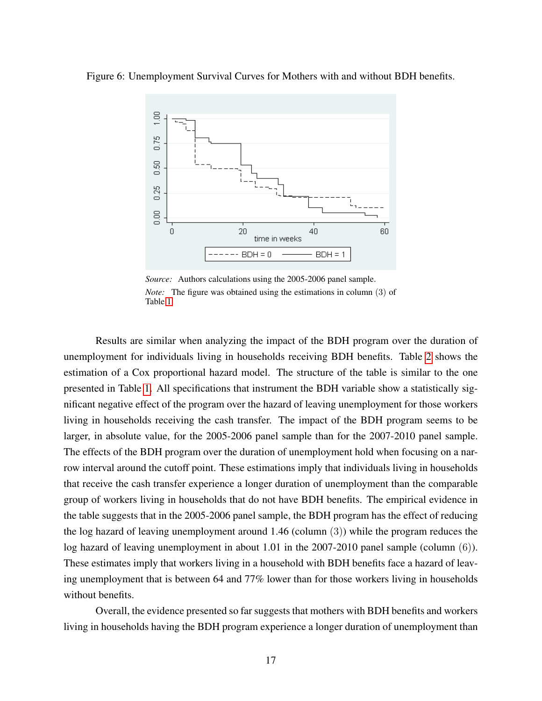Figure 6: Unemployment Survival Curves for Mothers with and without BDH benefits.

<span id="page-16-0"></span>

*Source:* Authors calculations using the 2005-2006 panel sample. *Note:* The figure was obtained using the estimations in column (3) of Table [1.](#page-15-0)

Results are similar when analyzing the impact of the BDH program over the duration of unemployment for individuals living in households receiving BDH benefits. Table [2](#page-18-0) shows the estimation of a Cox proportional hazard model. The structure of the table is similar to the one presented in Table [1.](#page-15-0) All specifications that instrument the BDH variable show a statistically significant negative effect of the program over the hazard of leaving unemployment for those workers living in households receiving the cash transfer. The impact of the BDH program seems to be larger, in absolute value, for the 2005-2006 panel sample than for the 2007-2010 panel sample. The effects of the BDH program over the duration of unemployment hold when focusing on a narrow interval around the cutoff point. These estimations imply that individuals living in households that receive the cash transfer experience a longer duration of unemployment than the comparable group of workers living in households that do not have BDH benefits. The empirical evidence in the table suggests that in the 2005-2006 panel sample, the BDH program has the effect of reducing the log hazard of leaving unemployment around 1.46 (column (3)) while the program reduces the log hazard of leaving unemployment in about 1.01 in the 2007-2010 panel sample (column (6)). These estimates imply that workers living in a household with BDH benefits face a hazard of leaving unemployment that is between 64 and 77% lower than for those workers living in households without benefits.

Overall, the evidence presented so far suggests that mothers with BDH benefits and workers living in households having the BDH program experience a longer duration of unemployment than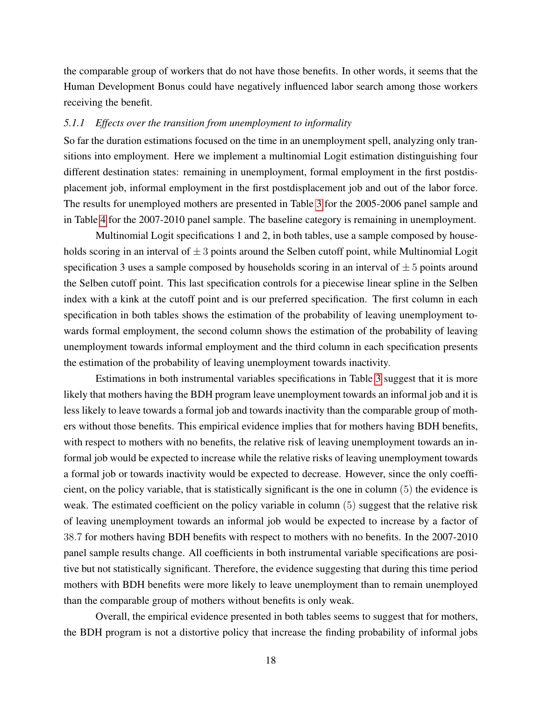the comparable group of workers that do not have those benefits. In other words, it seems that the Human Development Bonus could have negatively influenced labor search among those workers receiving the benefit.

#### *5.1.1 Effects over the transition from unemployment to informality*

So far the duration estimations focused on the time in an unemployment spell, analyzing only transitions into employment. Here we implement a multinomial Logit estimation distinguishing four different destination states: remaining in unemployment, formal employment in the first postdisplacement job, informal employment in the first postdisplacement job and out of the labor force. The results for unemployed mothers are presented in Table [3](#page-20-0) for the 2005-2006 panel sample and in Table [4](#page-21-0) for the 2007-2010 panel sample. The baseline category is remaining in unemployment.

Multinomial Logit specifications 1 and 2, in both tables, use a sample composed by households scoring in an interval of  $\pm 3$  points around the Selben cutoff point, while Multinomial Logit specification 3 uses a sample composed by households scoring in an interval of  $\pm 5$  points around the Selben cutoff point. This last specification controls for a piecewise linear spline in the Selben index with a kink at the cutoff point and is our preferred specification. The first column in each specification in both tables shows the estimation of the probability of leaving unemployment towards formal employment, the second column shows the estimation of the probability of leaving unemployment towards informal employment and the third column in each specification presents the estimation of the probability of leaving unemployment towards inactivity.

Estimations in both instrumental variables specifications in Table [3](#page-20-0) suggest that it is more likely that mothers having the BDH program leave unemployment towards an informal job and it is less likely to leave towards a formal job and towards inactivity than the comparable group of mothers without those benefits. This empirical evidence implies that for mothers having BDH benefits, with respect to mothers with no benefits, the relative risk of leaving unemployment towards an informal job would be expected to increase while the relative risks of leaving unemployment towards a formal job or towards inactivity would be expected to decrease. However, since the only coefficient, on the policy variable, that is statistically significant is the one in column (5) the evidence is weak. The estimated coefficient on the policy variable in column (5) suggest that the relative risk of leaving unemployment towards an informal job would be expected to increase by a factor of 38.7 for mothers having BDH benefits with respect to mothers with no benefits. In the 2007-2010 panel sample results change. All coefficients in both instrumental variable specifications are positive but not statistically significant. Therefore, the evidence suggesting that during this time period mothers with BDH benefits were more likely to leave unemployment than to remain unemployed than the comparable group of mothers without benefits is only weak.

Overall, the empirical evidence presented in both tables seems to suggest that for mothers, the BDH program is not a distortive policy that increase the finding probability of informal jobs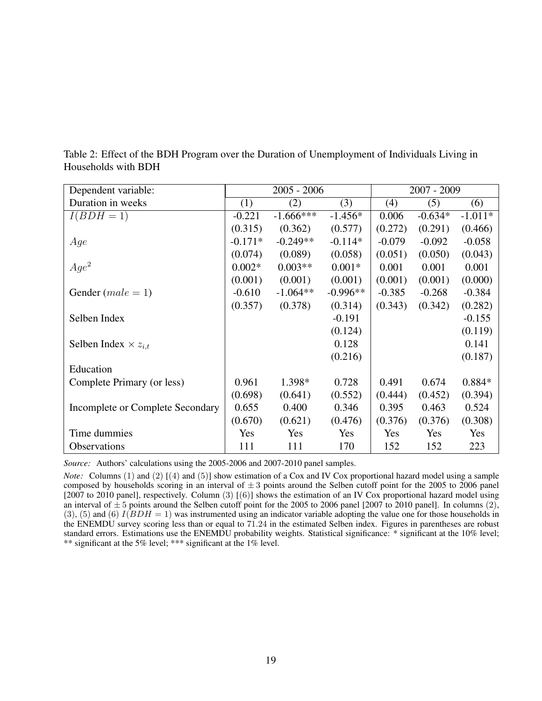| Dependent variable:              |           | $2005 - 2006$ |            |          | $2007 - 2009$ |           |
|----------------------------------|-----------|---------------|------------|----------|---------------|-----------|
| Duration in weeks                | (1)       | (2)           | (3)        | (4)      | (5)           | (6)       |
| $I(BDH=1)$                       | $-0.221$  | $-1.666***$   | $-1.456*$  | 0.006    | $-0.634*$     | $-1.011*$ |
|                                  | (0.315)   | (0.362)       | (0.577)    | (0.272)  | (0.291)       | (0.466)   |
| Age                              | $-0.171*$ | $-0.249**$    | $-0.114*$  | $-0.079$ | $-0.092$      | $-0.058$  |
|                                  | (0.074)   | (0.089)       | (0.058)    | (0.051)  | (0.050)       | (0.043)   |
| $Age^2$                          | $0.002*$  | $0.003**$     | $0.001*$   | 0.001    | 0.001         | 0.001     |
|                                  | (0.001)   | (0.001)       | (0.001)    | (0.001)  | (0.001)       | (0.000)   |
| Gender $(male = 1)$              | $-0.610$  | $-1.064**$    | $-0.996**$ | $-0.385$ | $-0.268$      | $-0.384$  |
|                                  | (0.357)   | (0.378)       | (0.314)    | (0.343)  | (0.342)       | (0.282)   |
| Selben Index                     |           |               | $-0.191$   |          |               | $-0.155$  |
|                                  |           |               | (0.124)    |          |               | (0.119)   |
| Selben Index $\times z_{i,t}$    |           |               | 0.128      |          |               | 0.141     |
|                                  |           |               | (0.216)    |          |               | (0.187)   |
| Education                        |           |               |            |          |               |           |
| Complete Primary (or less)       | 0.961     | 1.398*        | 0.728      | 0.491    | 0.674         | 0.884*    |
|                                  | (0.698)   | (0.641)       | (0.552)    | (0.444)  | (0.452)       | (0.394)   |
| Incomplete or Complete Secondary | 0.655     | 0.400         | 0.346      | 0.395    | 0.463         | 0.524     |
|                                  | (0.670)   | (0.621)       | (0.476)    | (0.376)  | (0.376)       | (0.308)   |
| Time dummies                     | Yes       | Yes           | Yes        | Yes      | Yes           | Yes       |
| <b>Observations</b>              | 111       | 111           | 170        | 152      | 152           | 223       |

<span id="page-18-0"></span>Table 2: Effect of the BDH Program over the Duration of Unemployment of Individuals Living in Households with BDH

*Source:* Authors' calculations using the 2005-2006 and 2007-2010 panel samples.

*Note:* Columns (1) and (2) [(4) and (5)] show estimation of a Cox and IV Cox proportional hazard model using a sample composed by households scoring in an interval of  $\pm 3$  points around the Selben cutoff point for the 2005 to 2006 panel [2007 to 2010 panel], respectively. Column (3) [(6)] shows the estimation of an IV Cox proportional hazard model using an interval of  $\pm 5$  points around the Selben cutoff point for the 2005 to 2006 panel [2007 to 2010 panel]. In columns (2), (3), (5) and (6)  $I(BDH = 1)$  was instrumented using an indicator variable adopting the value one for those households in the ENEMDU survey scoring less than or equal to 71.24 in the estimated Selben index. Figures in parentheses are robust standard errors. Estimations use the ENEMDU probability weights. Statistical significance: \* significant at the 10% level; \*\* significant at the 5% level; \*\*\* significant at the 1% level.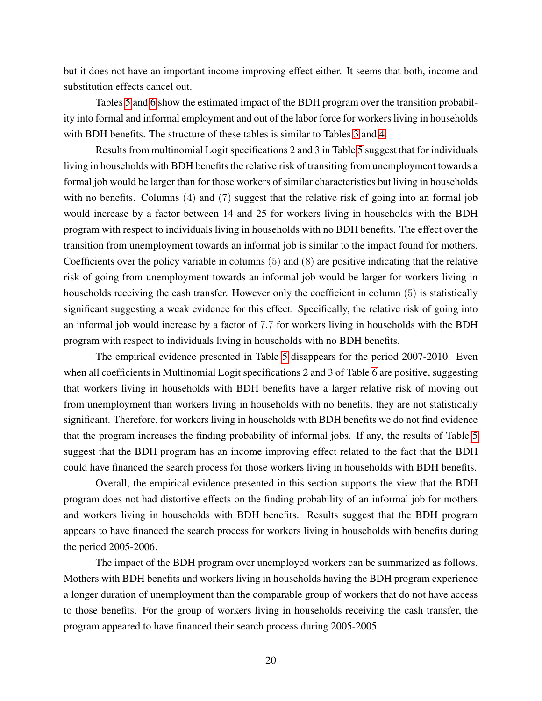but it does not have an important income improving effect either. It seems that both, income and substitution effects cancel out.

Tables [5](#page-22-0) and [6](#page-23-0) show the estimated impact of the BDH program over the transition probability into formal and informal employment and out of the labor force for workers living in households with BDH benefits. The structure of these tables is similar to Tables [3](#page-20-0) and [4.](#page-21-0)

Results from multinomial Logit specifications 2 and 3 in Table [5](#page-22-0) suggest that for individuals living in households with BDH benefits the relative risk of transiting from unemployment towards a formal job would be larger than for those workers of similar characteristics but living in households with no benefits. Columns (4) and (7) suggest that the relative risk of going into an formal job would increase by a factor between 14 and 25 for workers living in households with the BDH program with respect to individuals living in households with no BDH benefits. The effect over the transition from unemployment towards an informal job is similar to the impact found for mothers. Coefficients over the policy variable in columns (5) and (8) are positive indicating that the relative risk of going from unemployment towards an informal job would be larger for workers living in households receiving the cash transfer. However only the coefficient in column (5) is statistically significant suggesting a weak evidence for this effect. Specifically, the relative risk of going into an informal job would increase by a factor of 7.7 for workers living in households with the BDH program with respect to individuals living in households with no BDH benefits.

The empirical evidence presented in Table [5](#page-22-0) disappears for the period 2007-2010. Even when all coefficients in Multinomial Logit specifications 2 and 3 of Table [6](#page-23-0) are positive, suggesting that workers living in households with BDH benefits have a larger relative risk of moving out from unemployment than workers living in households with no benefits, they are not statistically significant. Therefore, for workers living in households with BDH benefits we do not find evidence that the program increases the finding probability of informal jobs. If any, the results of Table [5](#page-22-0) suggest that the BDH program has an income improving effect related to the fact that the BDH could have financed the search process for those workers living in households with BDH benefits.

Overall, the empirical evidence presented in this section supports the view that the BDH program does not had distortive effects on the finding probability of an informal job for mothers and workers living in households with BDH benefits. Results suggest that the BDH program appears to have financed the search process for workers living in households with benefits during the period 2005-2006.

The impact of the BDH program over unemployed workers can be summarized as follows. Mothers with BDH benefits and workers living in households having the BDH program experience a longer duration of unemployment than the comparable group of workers that do not have access to those benefits. For the group of workers living in households receiving the cash transfer, the program appeared to have financed their search process during 2005-2005.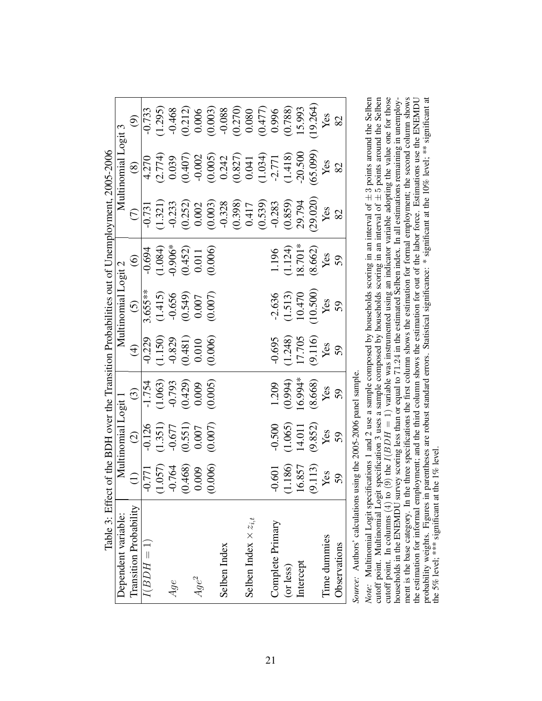<span id="page-20-0"></span>

| Table 3: Effect of the BDH over the Transition Probabilities out of Unemployment, 2005-2006 |                                 |                                                                                            |                                                                                            |                                                                      |                                                                                                         |                                                                        |                                                                                                                                                                                                                                                                                                                                                      |                                                                                                                                                                                                                                                                                                                       |                                                                                                                                                                                                                                                                                                         |
|---------------------------------------------------------------------------------------------|---------------------------------|--------------------------------------------------------------------------------------------|--------------------------------------------------------------------------------------------|----------------------------------------------------------------------|---------------------------------------------------------------------------------------------------------|------------------------------------------------------------------------|------------------------------------------------------------------------------------------------------------------------------------------------------------------------------------------------------------------------------------------------------------------------------------------------------------------------------------------------------|-----------------------------------------------------------------------------------------------------------------------------------------------------------------------------------------------------------------------------------------------------------------------------------------------------------------------|---------------------------------------------------------------------------------------------------------------------------------------------------------------------------------------------------------------------------------------------------------------------------------------------------------|
| Dependent variable:                                                                         |                                 | Multinomial Logit 1                                                                        |                                                                                            |                                                                      | Multinomial Logit 2                                                                                     |                                                                        |                                                                                                                                                                                                                                                                                                                                                      | Multinomial Logit 3                                                                                                                                                                                                                                                                                                   |                                                                                                                                                                                                                                                                                                         |
| <b>Transition Probability</b>                                                               | $\bigoplus$                     |                                                                                            |                                                                                            | $\bigoplus$                                                          |                                                                                                         | $\odot$                                                                |                                                                                                                                                                                                                                                                                                                                                      | $\circledast$                                                                                                                                                                                                                                                                                                         | $\widehat{\mathfrak{S}}$                                                                                                                                                                                                                                                                                |
| $I(BDH=1)$                                                                                  | $-0.771$                        |                                                                                            |                                                                                            |                                                                      |                                                                                                         |                                                                        |                                                                                                                                                                                                                                                                                                                                                      |                                                                                                                                                                                                                                                                                                                       |                                                                                                                                                                                                                                                                                                         |
|                                                                                             | $(1.057)$<br>$-0.764$           | $\begin{array}{c} (2) \\ \hline 0.126 \\ (1.351) \\ 0.677 \\ (0.551) \\ 0.007 \end{array}$ | $\begin{array}{c} (3) \\ \hline 1.754 \\ (1.063) \\ 0.793 \\ (0.429) \\ 0.009 \end{array}$ |                                                                      |                                                                                                         | $-0.694$<br>$(1.084)$<br>$-0.906$ <sup>*</sup><br>$(0.452)$<br>$0.011$ |                                                                                                                                                                                                                                                                                                                                                      |                                                                                                                                                                                                                                                                                                                       |                                                                                                                                                                                                                                                                                                         |
| Age                                                                                         |                                 |                                                                                            |                                                                                            |                                                                      |                                                                                                         |                                                                        |                                                                                                                                                                                                                                                                                                                                                      |                                                                                                                                                                                                                                                                                                                       |                                                                                                                                                                                                                                                                                                         |
|                                                                                             | (0.468)                         |                                                                                            |                                                                                            |                                                                      |                                                                                                         |                                                                        |                                                                                                                                                                                                                                                                                                                                                      |                                                                                                                                                                                                                                                                                                                       |                                                                                                                                                                                                                                                                                                         |
| $Age^2$                                                                                     | 0.009                           |                                                                                            |                                                                                            | $-0.229$<br>$(1.150)$<br>$-0.829$<br>$(0.481)$<br>$0.010$<br>$0.000$ |                                                                                                         |                                                                        |                                                                                                                                                                                                                                                                                                                                                      |                                                                                                                                                                                                                                                                                                                       |                                                                                                                                                                                                                                                                                                         |
|                                                                                             | (0.006)                         | (0.007)                                                                                    | (0.005)                                                                                    |                                                                      | $\begin{array}{c} (5) \\ \hline 3.655** \\ (1.415) \\ 0.656 \\ (0.549) \\ 0.007 \\ (0.007) \end{array}$ | (0.006)                                                                |                                                                                                                                                                                                                                                                                                                                                      |                                                                                                                                                                                                                                                                                                                       |                                                                                                                                                                                                                                                                                                         |
| Selben Index                                                                                |                                 |                                                                                            |                                                                                            |                                                                      |                                                                                                         |                                                                        |                                                                                                                                                                                                                                                                                                                                                      |                                                                                                                                                                                                                                                                                                                       |                                                                                                                                                                                                                                                                                                         |
|                                                                                             |                                 |                                                                                            |                                                                                            |                                                                      |                                                                                                         |                                                                        | $\begin{array}{r} (7) \\[-4pt] (-1,321) \\[-4pt] (-1,321) \\[-4pt] (-1,323) \\[-4pt] (-1,323) \\[-4pt] (-1,323) \\[-4pt] (-1,323) \\[-4pt] (-1,323) \\[-4pt] (-1,323) \\[-4pt] (-1,323) \\[-4pt] (-1,323) \\[-4pt] (-1,323) \\[-4pt] (-1,323) \\[-4pt] (-1,323) \\[-4pt] (-1,323) \\[-4pt] (-1,323) \\[-4pt] (-1,323) \\[-4pt] (-1,323) \\[-4pt] (-$ | $\begin{array}{c} 4.270 \\ (2.774) \\ (0.039) \\ (0.407) \\ (0.002) \\ (0.003) \\ (0.003) \\ (0.004) \\ (0.034) \\ (0.034) \\ (0.034) \\ (1.418) \\ (1.418) \\ (1.418) \\ (1.418) \\ (1.418) \\ (1.418) \\ (1.418) \\ (1.418) \\ (1.418) \\ (1.418) \\ (1.418) \\ (1.418) \\ (1.418) \\ (1.418) \\ (1.418) \\ (1.418$ | $\begin{array}{r} -0.733 \\ -0.295 \\ -0.468 \\ -0.006 \\ 0.003 \\ 0.003 \\ 0.003 \\ 0.003 \\ 0.003 \\ 0.003 \\ 0.003 \\ 0.003 \\ 0.003 \\ 0.003 \\ 0.003 \\ 0.003 \\ 0.003 \\ 0.003 \\ 0.003 \\ 0.003 \\ 0.003 \\ 0.003 \\ 0.003 \\ 0.003 \\ 0.003 \\ 0.003 \\ 0.003 \\ 0.003 \\ 0.003 \\ 0.003 \\ 0.$ |
| Selben Index $\times z_{i,t}$                                                               |                                 |                                                                                            |                                                                                            |                                                                      |                                                                                                         |                                                                        |                                                                                                                                                                                                                                                                                                                                                      |                                                                                                                                                                                                                                                                                                                       |                                                                                                                                                                                                                                                                                                         |
|                                                                                             |                                 |                                                                                            |                                                                                            |                                                                      |                                                                                                         |                                                                        |                                                                                                                                                                                                                                                                                                                                                      |                                                                                                                                                                                                                                                                                                                       |                                                                                                                                                                                                                                                                                                         |
| Complete Primary                                                                            | $-0.601$                        | $-0.500$                                                                                   | 1.209                                                                                      | $-0.695$                                                             |                                                                                                         |                                                                        |                                                                                                                                                                                                                                                                                                                                                      |                                                                                                                                                                                                                                                                                                                       |                                                                                                                                                                                                                                                                                                         |
| (or less)                                                                                   | (1.186)                         | $(1.065)$<br>14.011                                                                        |                                                                                            |                                                                      |                                                                                                         | $1.196$<br>(1.124)<br>18.701*                                          |                                                                                                                                                                                                                                                                                                                                                      |                                                                                                                                                                                                                                                                                                                       |                                                                                                                                                                                                                                                                                                         |
| Intercept                                                                                   |                                 |                                                                                            |                                                                                            |                                                                      |                                                                                                         |                                                                        |                                                                                                                                                                                                                                                                                                                                                      |                                                                                                                                                                                                                                                                                                                       |                                                                                                                                                                                                                                                                                                         |
|                                                                                             | $\frac{16.857}{(9.113)}$<br>Yes | $(9.852)$<br>Yes                                                                           | $(0.994)$<br>16.994*<br>(8.668)<br>Yes<br>Yes                                              | $(1.248)$<br>17.705<br>19.116)<br>Yes<br>Yes                         | $-2.636$<br>$(1.513)$<br>$10.470$<br>$Y$ es<br>Yes<br>S9                                                | $(8.662)$<br>Yes                                                       | $(29.020)$<br>Yes                                                                                                                                                                                                                                                                                                                                    | (65.099)                                                                                                                                                                                                                                                                                                              | (19.264)                                                                                                                                                                                                                                                                                                |
| Time dummies                                                                                |                                 |                                                                                            |                                                                                            |                                                                      |                                                                                                         |                                                                        |                                                                                                                                                                                                                                                                                                                                                      | Yes                                                                                                                                                                                                                                                                                                                   | Yes                                                                                                                                                                                                                                                                                                     |
| Observations                                                                                | 59                              | 59                                                                                         |                                                                                            |                                                                      |                                                                                                         | 59                                                                     | 82                                                                                                                                                                                                                                                                                                                                                   | 82                                                                                                                                                                                                                                                                                                                    | 82                                                                                                                                                                                                                                                                                                      |
|                                                                                             |                                 |                                                                                            |                                                                                            |                                                                      |                                                                                                         |                                                                        |                                                                                                                                                                                                                                                                                                                                                      |                                                                                                                                                                                                                                                                                                                       |                                                                                                                                                                                                                                                                                                         |

Source: Authors' calculations using the 2005-2006 panel sample. *Source:* Authors' calculations using the 2005-2006 panel sample.

the estimation for informal employment; and the third column shows the estimation for out of the labor force. Estimations use the ENEMDU<br>probability weights. Figures in parentheses are robust standard errors. Statistical s ment is the base category. In the three specifications the first column shows the estimation for formal employment; the second column shows  $\pm$  3 points around the Selben<br> $\pm$  5 points around the Selben  $\pm 5$  points around the Selben  $I(BDH = 1)$  variable was instrumented using an indicator variable adopting the value one for those in a low leave the value one for those households in the ENEMDU survey scoring less than or equal to 71.24 in the estimated Selben index. In all estimations remaining in unemployment is the base category. In the three specifications the first column shows the estimation for formal employment; the second column shows the estimation for informal employment; and the third column shows the estimation for out of the labor force. Estimations use the ENEMDU probability weights. Figures in parentheses are robust standard errors. Statistical significance: \* significant at the 10% level; \*\* significant at  $\pm$ *Note:* Multinomial Logit specifications 1 and 2 use a sample composed by households scoring in an interval of cutoff point. Multinomial Logit specification 3 uses a sample composed by households scoring in an interval of the 5% level; \*\*\* significant at the 1% level. the 5% level; \*\*\* significant at the 1% level. cutoff point. In columns  $(4)$  to  $(9)$  the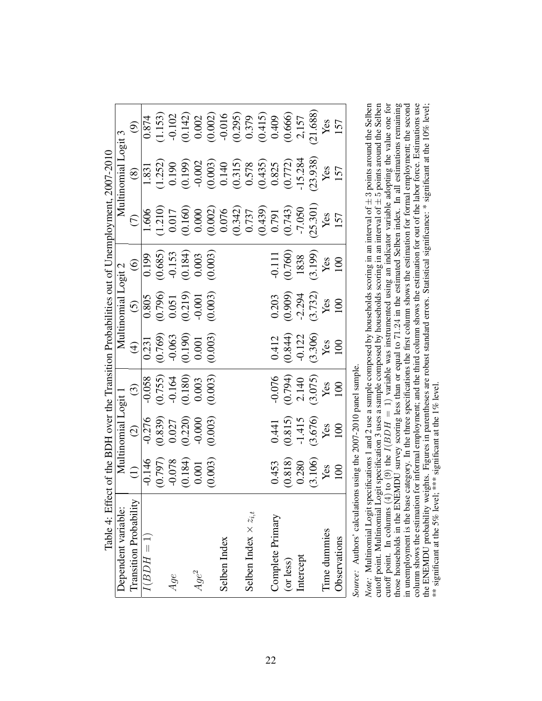<span id="page-21-0"></span>

|                                                                                             |                     |                        |            |     |         |                                                                                                                                                                                                                                                                                                         |              |                               |                  |           |           | $\frac{(9)}{0.874}$<br>$\frac{(1.153)}{(0.142)}$<br>$\frac{(0.142)}{(0.002)}$<br>$\frac{(0.002)}{(0.0002)}$<br>$\frac{(0.379)}{(0.415)}$<br>$\frac{(0.415)}{(0.666)}$<br>$\frac{(0.457)}{(0.666)}$<br>$\frac{(2.157)}{(2.1688)}$                                                               |              |              |  |
|---------------------------------------------------------------------------------------------|---------------------|------------------------|------------|-----|---------|---------------------------------------------------------------------------------------------------------------------------------------------------------------------------------------------------------------------------------------------------------------------------------------------------------|--------------|-------------------------------|------------------|-----------|-----------|------------------------------------------------------------------------------------------------------------------------------------------------------------------------------------------------------------------------------------------------------------------------------------------------|--------------|--------------|--|
|                                                                                             | Multinomial Logit 3 |                        |            |     |         |                                                                                                                                                                                                                                                                                                         |              |                               |                  |           |           | $\begin{array}{r rrrr} (8) & (8) & (8) & (1.831 & (1.252) & (1.252) & (0.190) & (0.190) & (0.002) & (0.003) & (0.315) & (0.315) & (0.315) & (0.315) & (0.772) & (0.772) & (0.772) & (0.7738) & (0.772) & (0.7738) & (0.7738) & (0.7738) & (0.7738) & (0.7738) & (0.7738) & (0.7738) & (0.7738$ |              |              |  |
|                                                                                             |                     | $\widehat{C}$          | 1.606      |     |         |                                                                                                                                                                                                                                                                                                         |              |                               |                  |           |           | $\begin{array}{l} (1.210) \\ 0.017 \\ (0.160) \\ (0.000) \\ (0.007) \\ (0.342) \\ (0.737) \\ (0.439) \\ (0.743) \\ (0.743) \\ (0.743) \\ (0.743) \\ (0.743) \\ (25.301) \\ \text{Yes} \\ (157) \\ \end{array}$                                                                                 |              |              |  |
|                                                                                             |                     | $\odot$                |            |     |         | $\overline{0.199}$<br>$(0.685)$<br>$-0.153$<br>$(0.184)$<br>$0.003$<br>$(0.003)$                                                                                                                                                                                                                        |              |                               |                  |           |           | $-0.111$<br>$(0.760)$<br>$1838$<br>$1838$<br>$Y$ es<br>Yes<br>$Y$ es                                                                                                                                                                                                                           |              |              |  |
|                                                                                             | Multinomial Logit 2 |                        |            |     |         | $\frac{(5)}{0.805}$<br>$\frac{(0.796)}{(0.796)}$<br>$\frac{(0.19)}{(0.219)}$<br>$\frac{(0.219)}{(0.001)}$                                                                                                                                                                                               |              |                               |                  |           |           | $0.203$<br>$(0.909)$<br>$-2.294$<br>$Yes$<br>$Yes$<br>100                                                                                                                                                                                                                                      |              |              |  |
|                                                                                             |                     |                        |            |     |         | $\begin{pmatrix} 4 \\ -0.231 \\ 0.769 \\ -0.063 \\ 0.190 \\ 0.001 \\ 0.001 \\ 0.001 \\ 0.003 \\ 0.003 \\ 0.003 \\ 0.003 \\ 0.003 \\ 0.003 \\ 0.003 \\ 0.003 \\ 0.003 \\ 0.003 \\ 0.003 \\ 0.003 \\ 0.003 \\ 0.003 \\ 0.003 \\ 0.003 \\ 0.003 \\ 0.003 \\ 0.003 \\ 0.003 \\ 0.003 \\ 0.003 \\ 0.003 \\ $ |              |                               |                  |           |           | $\begin{array}{c} 0.412 \\ (0.844) \\ -0.122 \\ \text{Yes} \\ \text{Yes} \\ \text{Yes} \\ 100 \\ \end{array}$                                                                                                                                                                                  |              |              |  |
|                                                                                             |                     |                        |            |     |         | $\begin{array}{c} (3) \\ \hline 0.058 \\ (0.755) \\ -0.164 \\ (0.180) \\ 0.003 \\ (0.003) \end{array}$                                                                                                                                                                                                  |              |                               |                  |           |           | $-0.076$<br>$(0.794)$<br>$2.140$<br>$(3.075)$<br>Yes<br>Yes                                                                                                                                                                                                                                    |              |              |  |
|                                                                                             | Multinomial Logit 1 |                        |            |     |         | $\begin{array}{c} (2) \\ \hline 0.276 \\ (0.839) \\ 0.027 \\ (0.220) \\ 0.020 \\ -0.000 \end{array}$                                                                                                                                                                                                    |              |                               |                  |           |           | $0.441$<br>$(0.815)$<br>$-1.415$<br>$(3.676)$<br>Yes<br>Yes<br>Yes                                                                                                                                                                                                                             |              |              |  |
|                                                                                             |                     |                        |            |     |         | $\begin{array}{r} (1)\\ \hline 1146\\ (0.797)\\ \hline 0.078\\ (0.184)\\ (0.184)\\ 0.001 \end{array}$                                                                                                                                                                                                   |              |                               |                  |           |           | $\begin{array}{c} 0.453 \\ (0.818) \\ 0.280 \\ (3.106) \\ \text{Yes} \\ \end{array}$                                                                                                                                                                                                           |              |              |  |
| Table 4: Effect of the BDH over the Transition Probabilities out of Unemployment, 2007-2010 | Oependent variable: | Transition Probability | $I(BDH=1)$ | Age | $Age^2$ |                                                                                                                                                                                                                                                                                                         | Selben Index | Selben Index $\times z_{i,t}$ | Complete Primary | (or less) | Intercept |                                                                                                                                                                                                                                                                                                | Time dummies | Observations |  |

| ł<br>֧֦֧֦֦֦֦֦֖֦֦֪֚֚֚֚֚֞֝֝֝֬֝֝֝֝֝֬֝֝<br>C<br>S<br>ł |
|----------------------------------------------------|
| ר הרה הרות<br>י<br>ג<br>Ï<br>ていきょうてん               |
| $\alpha$ aloulations using the<br>J<br>į<br>ì<br>l |
| ı<br>i<br>į                                        |
| I                                                  |

cutoff point. In columns (4) to (9) the  $I(BDH = 1)$  variable was instrumented using an indicator variable adopting the value one for<br>those households in the ENEMDU survey scoring less than or equal to 71.24 in the estimated column shows the estimation for informal employment; and the third column shows the estimation for out of the labor force. Estimations use<br>the ENEMDU probability weights. Figures in parentheses are robust standard errors.  $\pm 3$  points around the Selben<br> $\pm 5$  points around the Selben  $\pm 5$  points around the Selben<br>and the state form  $I(BDH = 1)$  variable was instrumented using an indicator variable adopting the value one for  $m$  continuous contract to  $I(2BDH)$ those households in the ENEMDU survey scoring less than or equal to 71.24 in the estimated Selben index. In all estimations remaining in unemployment is the base category. In the three specifications the first column shows the estimation for formal employment; the second column shows the estimation for informal employment; and the third column shows the estimation for out of the labor force. Estimations use the ENEMDU probability weights. Figures in parentheses are robust standard errors. Statistical significance: \* significant at the 10% level;  $\pm\pm$ *Note:* Multinomial Logit specifications 1 and 2 use a sample composed by households scoring in an interval of cutoff point. Multinomial Logit specification 3 uses a sample composed by households scoring in an interval of \*\* significant at the 5% level; \*\*\* significant at the 1% level. cutoff point. In columns  $(4)$  to  $(9)$  the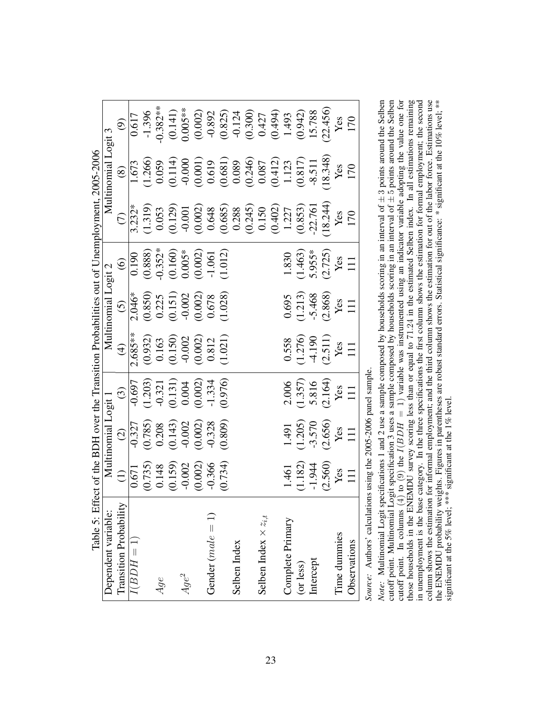<span id="page-22-0"></span>

|                                                                                             |                     | $\widehat{\Theta}$                                                                                                              | $\frac{1}{0.617}$ | $-1.396$<br>$-0.382**$<br>$(0.141)$<br>$(0.005**$<br>$(0.002)$<br>$-0.892$<br>$-0.300$<br>$-0.124$<br>$(0.494)$<br>$(0.493)$<br>$(0.493)$<br>$(0.493)$<br>$(0.456)$<br>$(0.2145)$<br>$Y_{CS}$                                                                                                                             |         |                     |         |              |                               |                  |           |           |                                                                                    |              |              |
|---------------------------------------------------------------------------------------------|---------------------|---------------------------------------------------------------------------------------------------------------------------------|-------------------|---------------------------------------------------------------------------------------------------------------------------------------------------------------------------------------------------------------------------------------------------------------------------------------------------------------------------|---------|---------------------|---------|--------------|-------------------------------|------------------|-----------|-----------|------------------------------------------------------------------------------------|--------------|--------------|
|                                                                                             | Multinomial Logit 3 |                                                                                                                                 |                   | $\begin{array}{r} (8) \\[-1.673] \\[-1.666] \\[-1.666] \\[-1.669] \\[-1.669] \\[-1.669] \\[-1.669] \\[-1.669] \\[-1.669] \\[-1.669] \\[-1.669] \\[-1.669] \\[-1.669] \\[-1.669] \\[-1.669] \\[-1.669] \\[-1.669] \\[-1.669] \\[-1.669] \\[-1.669] \\[-1.669] \\[-1.669] \\[-1.669] \\[-1.669] \\[-1.669] \\[-1.669] \\[-$ |         |                     |         |              |                               |                  |           |           |                                                                                    |              |              |
|                                                                                             |                     | $\widehat{C}$                                                                                                                   |                   | $\frac{1}{3.232}$<br>$(1.319)$<br>$(0.053)$<br>$(0.001)$<br>$(0.002)$<br>$(0.002)$<br>$(0.003)$<br>$(0.003)$<br>$(0.001)$<br>$(0.001)$<br>$(0.001)$<br>$(0.001)$<br>$(0.003)$<br>$(0.001)$<br>$(0.003)$<br>$(0.001)$<br>$(0.003)$<br>$(0.001)$<br>$(0.003)$<br>$(0.001)$                                                  |         |                     |         |              |                               |                  |           |           |                                                                                    |              |              |
|                                                                                             |                     | $\odot$                                                                                                                         |                   | $\begin{array}{r} 0.190 \\ 0.388 \\ 0.352^* \\ 0.160 \\ 0.005^* \\ 0.003 \\ -1.061 \\ 0.0140 \\ -1.012 \end{array}$                                                                                                                                                                                                       |         |                     |         |              |                               |                  |           |           | 1.830<br>(1.463)<br>5.955*<br>(2.725)<br>Yes<br>H1                                 |              |              |
|                                                                                             | Multinomial Logit 2 | $\begin{array}{c} (5) \\ \hline 2.046^* \\ (0.850) \\ 0.225 \\ (0.151) \\ -0.002 \\ (0.002) \\ 0.678 \\ (1.028) \\ \end{array}$ |                   |                                                                                                                                                                                                                                                                                                                           |         |                     |         |              |                               |                  |           |           | $0.695$<br>(1.213)<br>-5.468<br>(2.868)<br>Yes                                     |              |              |
|                                                                                             |                     | $\widehat{\mathcal{F}}$                                                                                                         | $2.685**$         | $\begin{array}{c} (0.932) \\ 0.163 \\ (0.150) \\ -0.002 \\ (0.002) \\ 0.812 \\ (1.021) \end{array}$                                                                                                                                                                                                                       |         |                     |         |              |                               |                  |           |           | $\begin{array}{c} 0.558 \\ (1.276) \\ -4.190 \\ (2.511) \\ \text{Yes} \end{array}$ |              |              |
|                                                                                             |                     | $\bigodot$                                                                                                                      |                   | $\begin{array}{l} -0.697 \\ -0.203) \\ -0.321 \\ -0.131) \\ 0.004 \\ -0.002) \\ -1.334 \\ -1.334 \\ \end{array}$                                                                                                                                                                                                          |         |                     |         |              |                               |                  |           |           | $2.006$<br>$(1.357)$<br>$5.816$<br>$(2.164)$<br>Yes<br>Yes<br>111                  |              |              |
|                                                                                             | Multinomial Logit 1 |                                                                                                                                 |                   | $\begin{array}{c} (2) \\ \hline 0.327 \\ (0.785) \\ 0.208 \\ (0.143) \\ (0.143) \\ (0.002) \\ -0.002 \\ \end{array}$                                                                                                                                                                                                      |         |                     | (0.809) |              |                               |                  |           |           | 1.491<br>(1.205)<br>-3.570<br>(2.656)<br>Yes<br>Yes                                |              |              |
|                                                                                             |                     |                                                                                                                                 |                   | $\begin{array}{c} (1) \\ 0.671 \\ (0.735) \\ 0.148 \\ (0.159) \\ -0.002 \\ (0.002) \\ -0.366 \\ \end{array}$                                                                                                                                                                                                              |         |                     |         |              |                               |                  |           |           | 1.461<br>(1.182)<br>-1.944<br>(2.560)<br>Yes<br>Yes                                |              |              |
| Table 5: Effect of the BDH over the Transition Probabilities out of Unemployment, 2005-2006 | Dependent variable: | Transition Probability                                                                                                          | $I(BDH=1)$        | Age                                                                                                                                                                                                                                                                                                                       | $Age^2$ | Gender $(male = 1)$ |         | Selben Index | Selben Index $\times z_{i,t}$ | Complete Primary | (or less) | Intercept |                                                                                    | Time dummies | Observations |

| ه این محمد من المحمد العال<br>ł                           |
|-----------------------------------------------------------|
| í.                                                        |
| ١<br>$\frac{1}{1}$<br>r<br>CCC<br>ı<br>j<br>$\frac{1}{2}$ |
| $\frac{1}{2}$                                             |
| J<br>֕<br>j                                               |
| colorume usan tro<br>١<br>,<br>i                          |
| l<br>ţ<br>J<br>:<br>ا<br>1                                |
| ï<br>ĭ                                                    |

those households in the ENEMDU survey scoring less than or equal to 71.24 in the estimated Selben index. In all estimations remaining<br>in unemployment is the base category. In the three specifications the first column shows cutoff point. In columns (4) to (9) the  $I(BDH = 1)$  variable was instrumented using an indicator variable adopting the value one for column shows the estimation for informal employment; and the third column shows the estimation for out of the labor force. Estimations use the ENEMDU probability weights. Figures in parentheses are robust standard errors. Statistical significance: \* significant at the 10% level; \*\*\*<br>significant at the 5% level; \*\*\* significant at the 1% level.  $\pm 3$  points around the Selben<br> $\pm 5$  points around the Selben  $\pm 5$  points around the Selben<br>codenation that indicates  $I(BDH = 1)$  variable was instrumented using an indicator variable adopting the value one for  $S_{\text{normal}}$  contract and  $S_{\text{normal}}$  in the activation of  $S_{\text{normal}}$  in the value of  $S_{\text{normal}}$  in the set important and  $S_{\text{normal}}$  in th in unemployment is the base category. In the three specifications the first column shows the estimation for formal employment; the second those households in the ENEMDU survey scoring less than or equal to 71.24 in the estimated Selben index. In all estimations remaining column shows the estimation for informal employment; and the third column shows the estimation for out of the labor force. Estimations use the ENEMDU probability weights. Figures in parentheses are robust standard errors. Statistical significance: \* significant at the 10% level; \*\*  $\pm$ *Note:* Multinomial Logit specifications 1 and 2 use a sample composed by households scoring in an interval of cutoff point. Multinomial Logit specification 3 uses a sample composed by households scoring in an interval of significant at the 5% level; \*\*\* significant at the 1% level. cutoff point. In columns  $(4)$  to  $(9)$  the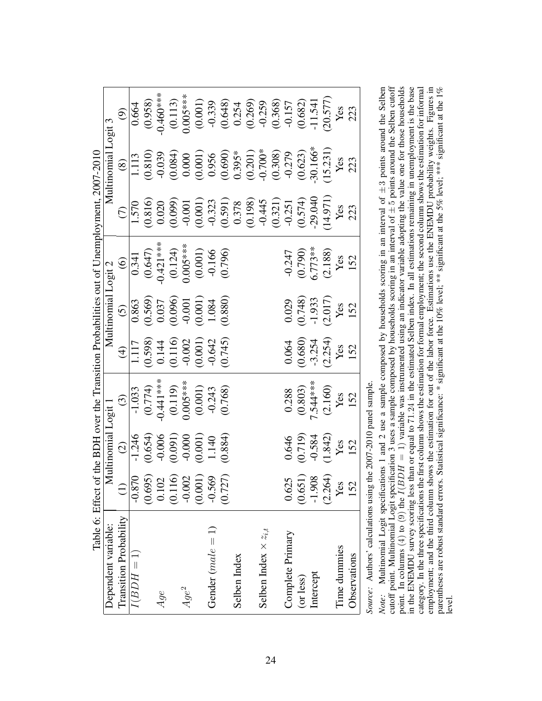<span id="page-23-0"></span>

|                                                                             |                     | $\widehat{\mathcal{O}}$                                                                                                     |            |     |         |                                                                                                                     |                     |              |                               |                  |           |           | $\begin{array}{c} 0.664 \\ 0.958) \\ -0.460*** \\ 0.0113) \\ 0.005*** \\ 0.339 \\ 0.254 \\ 0.260) \\ 0.274 \\ 0.339 \\ 0.0368) \\ 0.0368) \\ 0.0368) \\ 0.0362 \\ 0.0577 \\ 0.0374 \\ 0.030 \\ 0.030 \\ 0.030 \\ 0.030 \\ 0.030 \\ 0.030 \\ 0.030 \\ 0.030 \\ 0.030 \\ 0.030 \\ 0.030 \\ 0.030 \\ 0$                              |              |              |
|-----------------------------------------------------------------------------|---------------------|-----------------------------------------------------------------------------------------------------------------------------|------------|-----|---------|---------------------------------------------------------------------------------------------------------------------|---------------------|--------------|-------------------------------|------------------|-----------|-----------|-----------------------------------------------------------------------------------------------------------------------------------------------------------------------------------------------------------------------------------------------------------------------------------------------------------------------------------|--------------|--------------|
|                                                                             |                     |                                                                                                                             |            |     |         |                                                                                                                     |                     |              |                               |                  |           |           |                                                                                                                                                                                                                                                                                                                                   |              |              |
|                                                                             | Multinomial Logit 3 |                                                                                                                             |            |     |         |                                                                                                                     |                     |              |                               |                  |           |           | $\begin{array}{r} (8) \\[-1.113\\[-1.113]\\[-1.113]\\[-1.113]\\[-1.113]\\[-1.113]\\[-1.113]\\[-1.113]\\[-1.113]\\[-1.113]\\[-1.113]\\[-1.113]\\[-1.113]\\[-1.113]\\[-1.113]\\[-1.113]\\[-1.113]\\[-1.113]\\[-1.113]\\[-1.113]\\[-1.113]\\[-1.113]\\[-1.113]\\[-1.113]\\[-1.113]\\[-1.113]\\[-1.113]\\[-1.113]\\[-1.113]\\[-1.113$ |              |              |
|                                                                             |                     | $\widehat{C}$                                                                                                               |            |     |         |                                                                                                                     |                     |              |                               |                  |           |           | $\begin{array}{r} 1.570 \\ (0.816) \\ (0.009) \\ (0.001) \\ (0.001) \\ (0.591) \\ (0.198) \\ (0.198) \\ (0.198) \\ (0.371) \\ (0.321) \\ (0.574) \\ (0.574) \\ (0.574) \\ (0.574) \\ (0.574) \\ (0.574) \\ (0.574) \\ (0.574) \\ (0.574) \\ (0.574) \\ (0.574) \\ (0.574) \\ (0.574) \\ (0.574) \\ (0.574) \\ (0.574$             |              |              |
|                                                                             |                     | $\bigcirc$                                                                                                                  |            |     |         | $\begin{array}{r l} 0.341 \ \hline 0.647) \ 0.6421*** \ 0.124* \ 0.005*** \ 0.000100 \ 0.00000000 \end{array}$      |                     |              |                               |                  |           |           | $-0.247$<br>$(0.790)$<br>$6.773**$<br>$(2.188)$<br>Yes<br>Yes                                                                                                                                                                                                                                                                     |              |              |
|                                                                             | Multinomial Logit 2 | $\begin{array}{r} (5) \\ \hline 0.863 \\ (0.569) \\ 0.037 \\ (0.096) \\ (0.000) \\ (0.001) \\ 1.084 \\ (0.880) \end{array}$ |            |     |         |                                                                                                                     |                     |              |                               |                  |           |           | $0.029$<br>(0.748)<br>-1.933<br>(2.017)<br>Yes<br>Yes                                                                                                                                                                                                                                                                             |              |              |
|                                                                             |                     |                                                                                                                             |            |     |         | $\begin{array}{c}\n(4) \\ 1117 \\ (0.598) \\ 0.144 \\ (0.116) \\ 0.002 \\ (0.001) \\ 0.642 \\ (0.001)\n\end{array}$ |                     |              |                               |                  |           |           | $0.064$<br>$(0.680)$<br>$-3.254$<br>$(2.254)$<br>Yes<br>Yes                                                                                                                                                                                                                                                                       |              |              |
| of the BDH over the Transition Probabilities out of Unemployment, 2007-2010 |                     | $\widehat{c}$                                                                                                               |            |     |         | $-1.033$<br>$-0.774$<br>$-0.41$ ***<br>$-0.119$<br>$-0.005$ ***<br>$-0.243$<br>$-0.243$<br>$-0.243$                 |                     |              |                               |                  |           |           | $0.288$<br>$(0.803)$<br>$7.544***$<br>$(2.160)$<br>Yes<br>Yes                                                                                                                                                                                                                                                                     |              |              |
|                                                                             | Multinomial Logit 1 | $\overline{c}$                                                                                                              |            |     |         | $\begin{array}{r} -1.246 \\ (0.654) \\ (0.006) \\ (0.001) \\ (0.001) \\ (0.001) \\ (1.40) \\ 1.140 \\ \end{array}$  |                     |              |                               |                  |           |           | $0.646$<br>$(0.719)$<br>$-0.584$<br>$(1.842)$<br>Yes<br>Yes                                                                                                                                                                                                                                                                       |              |              |
|                                                                             |                     |                                                                                                                             |            |     |         | $\begin{array}{r} \hline 0.870 \\ 0.695) \\ 0.102 \\ 0.116) \\ 0.001 \\ 0.001) \\ 0.569 \\ 0.569 \end{array}$       |                     |              |                               |                  |           |           | $0.625$<br>$(0.651)$<br>$-1.908$<br>$(2.264)$<br>Yes<br>Yes<br>IS2                                                                                                                                                                                                                                                                |              |              |
| Table 6: Effect                                                             | Dependent variable: | Transition Probability                                                                                                      | $I(BDH=1)$ | Age | $Age^2$ |                                                                                                                     | Gender $(male = 1)$ | Selben Index | Selben Index $\times z_{i,t}$ | Complete Primary | (or less) | Intercept |                                                                                                                                                                                                                                                                                                                                   | Time dummies | Observations |

Source: Authors' calculations using the 2007-2010 panel sample. *Source:* Authors' calculations using the 2007-2010 panel sample.

in the ENEMDU survey scoring less than or equal to 71.24 in the estimated Selben index. In all estimations remaining in unemployment is the base category. In the three specifications the first column shows the stimation fo employment; and the third column shows the estimation for out of the labor force. Estimations use the ENEMDU probability weights. Figures in parentheses are robust standard errors. Statistical significance: \* significant at the 10% level; \*\*\* significant at the 5% level; \*\*\* significant at the 1%  $\pm$  5 points around the Selben cutoff  $\pm 3$  points around the Selben<br>sinte around the Selben  $I(BDH = 1)$  variable was instrumented using an indicator variable adopting the value one for those households are  $I(A)$  in the action of Callege in all extimations in incomponent is that hose in the ENEMDU survey scoring less than or equal to 71.24 in the estimated Selben index. In all estimations remaining in unemployment is the base category. In the three specifications the first column shows the estimation for formal employment; the second column shows the estimation for informal employment; and the third column shows the estimation for out of the labor force. Estimations use the ENEMDU probability weights. Figures in parentheses are robust standard errors. Statistical significance: \* significant at the 10% level; \*\* significant at the 1% significant at the 1% level; \*\*\* significant at the 1%  $\pm$ *Note:* Multinomial Logit specifications 1 and 2 use a sample composed by households scoring in an interval of  $\pm$ cutoff point. Multinomial Logit specification 3 uses a sample composed by households scoring in an interval of point. In columns  $(4)$  to  $(9)$  the level.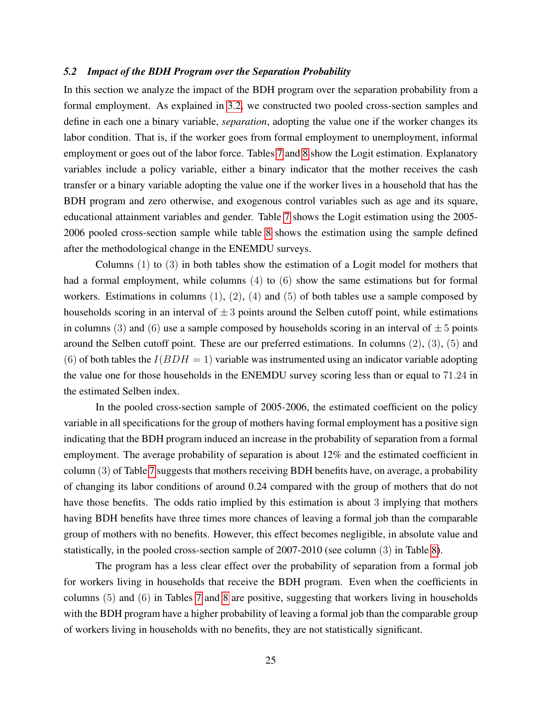#### *5.2 Impact of the BDH Program over the Separation Probability*

In this section we analyze the impact of the BDH program over the separation probability from a formal employment. As explained in [3.2,](#page-5-0) we constructed two pooled cross-section samples and define in each one a binary variable, *separation*, adopting the value one if the worker changes its labor condition. That is, if the worker goes from formal employment to unemployment, informal employment or goes out of the labor force. Tables [7](#page-26-0) and [8](#page-27-0) show the Logit estimation. Explanatory variables include a policy variable, either a binary indicator that the mother receives the cash transfer or a binary variable adopting the value one if the worker lives in a household that has the BDH program and zero otherwise, and exogenous control variables such as age and its square, educational attainment variables and gender. Table [7](#page-26-0) shows the Logit estimation using the 2005- 2006 pooled cross-section sample while table [8](#page-27-0) shows the estimation using the sample defined after the methodological change in the ENEMDU surveys.

Columns (1) to (3) in both tables show the estimation of a Logit model for mothers that had a formal employment, while columns (4) to (6) show the same estimations but for formal workers. Estimations in columns  $(1)$ ,  $(2)$ ,  $(4)$  and  $(5)$  of both tables use a sample composed by households scoring in an interval of  $\pm 3$  points around the Selben cutoff point, while estimations in columns (3) and (6) use a sample composed by households scoring in an interval of  $\pm 5$  points around the Selben cutoff point. These are our preferred estimations. In columns (2), (3), (5) and (6) of both tables the  $I(BDH = 1)$  variable was instrumented using an indicator variable adopting the value one for those households in the ENEMDU survey scoring less than or equal to 71.24 in the estimated Selben index.

In the pooled cross-section sample of 2005-2006, the estimated coefficient on the policy variable in all specifications for the group of mothers having formal employment has a positive sign indicating that the BDH program induced an increase in the probability of separation from a formal employment. The average probability of separation is about 12% and the estimated coefficient in column (3) of Table [7](#page-26-0) suggests that mothers receiving BDH benefits have, on average, a probability of changing its labor conditions of around 0.24 compared with the group of mothers that do not have those benefits. The odds ratio implied by this estimation is about 3 implying that mothers having BDH benefits have three times more chances of leaving a formal job than the comparable group of mothers with no benefits. However, this effect becomes negligible, in absolute value and statistically, in the pooled cross-section sample of 2007-2010 (see column (3) in Table [8\)](#page-27-0).

The program has a less clear effect over the probability of separation from a formal job for workers living in households that receive the BDH program. Even when the coefficients in columns (5) and (6) in Tables [7](#page-26-0) and [8](#page-27-0) are positive, suggesting that workers living in households with the BDH program have a higher probability of leaving a formal job than the comparable group of workers living in households with no benefits, they are not statistically significant.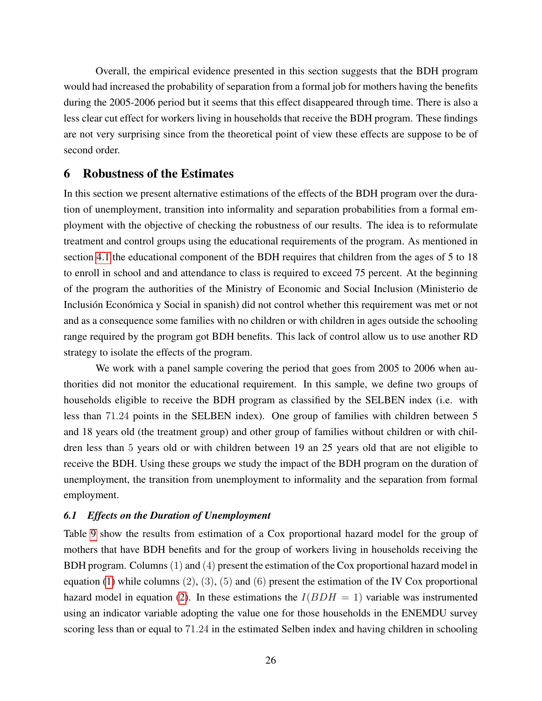Overall, the empirical evidence presented in this section suggests that the BDH program would had increased the probability of separation from a formal job for mothers having the benefits during the 2005-2006 period but it seems that this effect disappeared through time. There is also a less clear cut effect for workers living in households that receive the BDH program. These findings are not very surprising since from the theoretical point of view these effects are suppose to be of second order.

# 6 Robustness of the Estimates

In this section we present alternative estimations of the effects of the BDH program over the duration of unemployment, transition into informality and separation probabilities from a formal employment with the objective of checking the robustness of our results. The idea is to reformulate treatment and control groups using the educational requirements of the program. As mentioned in section [4.1](#page-6-0) the educational component of the BDH requires that children from the ages of 5 to 18 to enroll in school and and attendance to class is required to exceed 75 percent. At the beginning of the program the authorities of the Ministry of Economic and Social Inclusion (Ministerio de Inclusión Económica y Social in spanish) did not control whether this requirement was met or not and as a consequence some families with no children or with children in ages outside the schooling range required by the program got BDH benefits. This lack of control allow us to use another RD strategy to isolate the effects of the program.

We work with a panel sample covering the period that goes from 2005 to 2006 when authorities did not monitor the educational requirement. In this sample, we define two groups of households eligible to receive the BDH program as classified by the SELBEN index (i.e. with less than 71.24 points in the SELBEN index). One group of families with children between 5 and 18 years old (the treatment group) and other group of families without children or with children less than 5 years old or with children between 19 an 25 years old that are not eligible to receive the BDH. Using these groups we study the impact of the BDH program on the duration of unemployment, the transition from unemployment to informality and the separation from formal employment.

## *6.1 Effects on the Duration of Unemployment*

Table [9](#page-29-0) show the results from estimation of a Cox proportional hazard model for the group of mothers that have BDH benefits and for the group of workers living in households receiving the BDH program. Columns (1) and (4) present the estimation of the Cox proportional hazard model in equation [\(1\)](#page-12-0) while columns  $(2)$ ,  $(3)$ ,  $(5)$  and  $(6)$  present the estimation of the IV Cox proportional hazard model in equation [\(2\)](#page-12-1). In these estimations the  $I(BDH = 1)$  variable was instrumented using an indicator variable adopting the value one for those households in the ENEMDU survey scoring less than or equal to 71.24 in the estimated Selben index and having children in schooling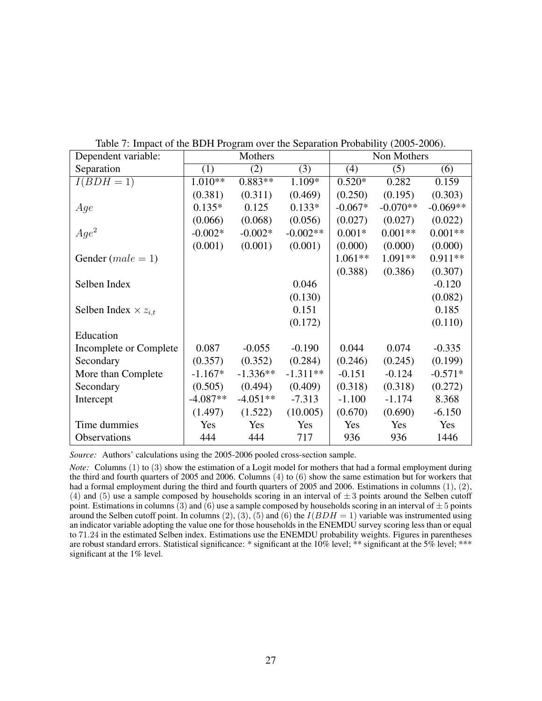| Dependent variable:           |            | Mothers    |            |           | Non Mothers |            |
|-------------------------------|------------|------------|------------|-----------|-------------|------------|
| Separation                    | (1)        | (2)        | (3)        | (4)       | (5)         | (6)        |
| $I(BDH=1)$                    | 1.010**    | $0.883**$  | 1.109*     | $0.520*$  | 0.282       | 0.159      |
|                               | (0.381)    | (0.311)    | (0.469)    | (0.250)   | (0.195)     | (0.303)    |
| Age                           | $0.135*$   | 0.125      | $0.133*$   | $-0.067*$ | $-0.070**$  | $-0.069**$ |
|                               | (0.066)    | (0.068)    | (0.056)    | (0.027)   | (0.027)     | (0.022)    |
| $Age^2$                       | $-0.002*$  | $-0.002*$  | $-0.002**$ | $0.001*$  | $0.001**$   | $0.001**$  |
|                               | (0.001)    | (0.001)    | (0.001)    | (0.000)   | (0.000)     | (0.000)    |
| Gender $(male = 1)$           |            |            |            | 1.061**   | 1.091**     | $0.911**$  |
|                               |            |            |            | (0.388)   | (0.386)     | (0.307)    |
| Selben Index                  |            |            | 0.046      |           |             | $-0.120$   |
|                               |            |            | (0.130)    |           |             | (0.082)    |
| Selben Index $\times z_{i,t}$ |            |            | 0.151      |           |             | 0.185      |
|                               |            |            | (0.172)    |           |             | (0.110)    |
| Education                     |            |            |            |           |             |            |
| Incomplete or Complete        | 0.087      | $-0.055$   | $-0.190$   | 0.044     | 0.074       | $-0.335$   |
| Secondary                     | (0.357)    | (0.352)    | (0.284)    | (0.246)   | (0.245)     | (0.199)    |
| More than Complete            | $-1.167*$  | $-1.336**$ | $-1.311**$ | $-0.151$  | $-0.124$    | $-0.571*$  |
| Secondary                     | (0.505)    | (0.494)    | (0.409)    | (0.318)   | (0.318)     | (0.272)    |
| Intercept                     | $-4.087**$ | $-4.051**$ | $-7.313$   | $-1.100$  | $-1.174$    | 8.368      |
|                               | (1.497)    | (1.522)    | (10.005)   | (0.670)   | (0.690)     | $-6.150$   |
| Time dummies                  | Yes        | Yes        | Yes        | Yes       | Yes         | Yes        |
| Observations                  | 444        | 444        | 717        | 936       | 936         | 1446       |

<span id="page-26-0"></span>Table 7: Impact of the BDH Program over the Separation Probability (2005-2006).

*Source:* Authors' calculations using the 2005-2006 pooled cross-section sample.

*Note:* Columns (1) to (3) show the estimation of a Logit model for mothers that had a formal employment during the third and fourth quarters of 2005 and 2006. Columns (4) to (6) show the same estimation but for workers that had a formal employment during the third and fourth quarters of 2005 and 2006. Estimations in columns (1), (2), (4) and (5) use a sample composed by households scoring in an interval of  $\pm$  3 points around the Selben cutoff point. Estimations in columns (3) and (6) use a sample composed by households scoring in an interval of  $\pm$  5 points around the Selben cutoff point. In columns  $(2)$ ,  $(3)$ ,  $(5)$  and  $(6)$  the  $I(BDH = 1)$  variable was instrumented using an indicator variable adopting the value one for those households in the ENEMDU survey scoring less than or equal to 71.24 in the estimated Selben index. Estimations use the ENEMDU probability weights. Figures in parentheses are robust standard errors. Statistical significance: \* significant at the 10% level; \*\* significant at the 5% level; \*\*\* significant at the 1% level.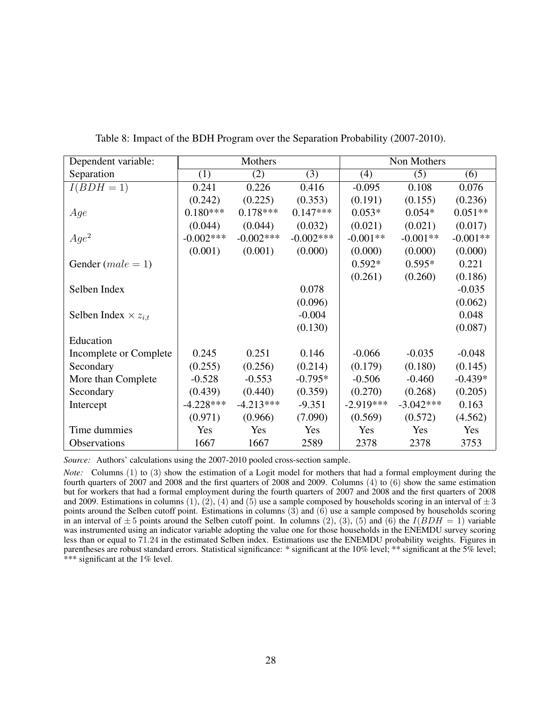| Dependent variable:           |             | Mothers     |             |             | Non Mothers |            |
|-------------------------------|-------------|-------------|-------------|-------------|-------------|------------|
| Separation                    | (1)         | (2)         | (3)         | (4)         | (5)         | (6)        |
| $I(BD\overline{H}=1)$         | 0.241       | 0.226       | 0.416       | $-0.095$    | 0.108       | 0.076      |
|                               | (0.242)     | (0.225)     | (0.353)     | (0.191)     | (0.155)     | (0.236)    |
| Age                           | $0.180***$  | $0.178***$  | $0.147***$  | $0.053*$    | $0.054*$    | $0.051**$  |
|                               | (0.044)     | (0.044)     | (0.032)     | (0.021)     | (0.021)     | (0.017)    |
| $Age^2$                       | $-0.002***$ | $-0.002***$ | $-0.002***$ | $-0.001**$  | $-0.001**$  | $-0.001**$ |
|                               | (0.001)     | (0.001)     | (0.000)     | (0.000)     | (0.000)     | (0.000)    |
| Gender $(male = 1)$           |             |             |             | $0.592*$    | $0.595*$    | 0.221      |
|                               |             |             |             | (0.261)     | (0.260)     | (0.186)    |
| Selben Index                  |             |             | 0.078       |             |             | $-0.035$   |
|                               |             |             | (0.096)     |             |             | (0.062)    |
| Selben Index $\times z_{i,t}$ |             |             | $-0.004$    |             |             | 0.048      |
|                               |             |             | (0.130)     |             |             | (0.087)    |
| Education                     |             |             |             |             |             |            |
| Incomplete or Complete        | 0.245       | 0.251       | 0.146       | $-0.066$    | $-0.035$    | $-0.048$   |
| Secondary                     | (0.255)     | (0.256)     | (0.214)     | (0.179)     | (0.180)     | (0.145)    |
| More than Complete            | $-0.528$    | $-0.553$    | $-0.795*$   | $-0.506$    | $-0.460$    | $-0.439*$  |
| Secondary                     | (0.439)     | (0.440)     | (0.359)     | (0.270)     | (0.268)     | (0.205)    |
| Intercept                     | $-4.228***$ | $-4.213***$ | $-9.351$    | $-2.919***$ | $-3.042***$ | 0.163      |
|                               | (0.971)     | (0.966)     | (7.090)     | (0.569)     | (0.572)     | (4.562)    |
| Time dummies                  | Yes         | Yes         | Yes         | Yes         | Yes         | Yes        |
| Observations                  | 1667        | 1667        | 2589        | 2378        | 2378        | 3753       |

<span id="page-27-0"></span>Table 8: Impact of the BDH Program over the Separation Probability (2007-2010).

*Source:* Authors' calculations using the 2007-2010 pooled cross-section sample.

*Note:* Columns (1) to (3) show the estimation of a Logit model for mothers that had a formal employment during the fourth quarters of 2007 and 2008 and the first quarters of 2008 and 2009. Columns (4) to (6) show the same estimation but for workers that had a formal employment during the fourth quarters of 2007 and 2008 and the first quarters of 2008 and 2009. Estimations in columns (1), (2), (4) and (5) use a sample composed by households scoring in an interval of  $\pm 3$ points around the Selben cutoff point. Estimations in columns (3) and (6) use a sample composed by households scoring in an interval of  $\pm 5$  points around the Selben cutoff point. In columns (2), (3), (5) and (6) the  $I(BDH = 1)$  variable was instrumented using an indicator variable adopting the value one for those households in the ENEMDU survey scoring less than or equal to 71.24 in the estimated Selben index. Estimations use the ENEMDU probability weights. Figures in parentheses are robust standard errors. Statistical significance: \* significant at the 10% level; \*\* significant at the 5% level; \*\*\* significant at the 1% level.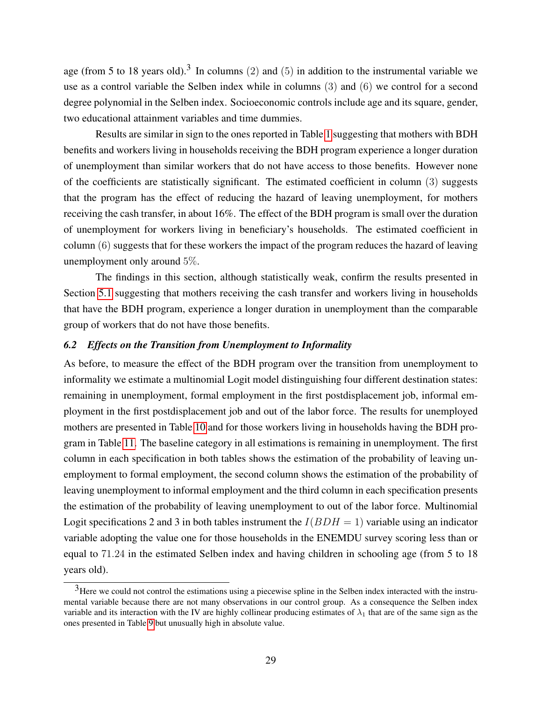age (from 5 to 18 years old).<sup>3</sup> In columns (2) and (5) in addition to the instrumental variable we use as a control variable the Selben index while in columns (3) and (6) we control for a second degree polynomial in the Selben index. Socioeconomic controls include age and its square, gender, two educational attainment variables and time dummies.

Results are similar in sign to the ones reported in Table [1](#page-15-0) suggesting that mothers with BDH benefits and workers living in households receiving the BDH program experience a longer duration of unemployment than similar workers that do not have access to those benefits. However none of the coefficients are statistically significant. The estimated coefficient in column (3) suggests that the program has the effect of reducing the hazard of leaving unemployment, for mothers receiving the cash transfer, in about 16%. The effect of the BDH program is small over the duration of unemployment for workers living in beneficiary's households. The estimated coefficient in column (6) suggests that for these workers the impact of the program reduces the hazard of leaving unemployment only around 5%.

The findings in this section, although statistically weak, confirm the results presented in Section [5.1](#page-14-0) suggesting that mothers receiving the cash transfer and workers living in households that have the BDH program, experience a longer duration in unemployment than the comparable group of workers that do not have those benefits.

## *6.2 Effects on the Transition from Unemployment to Informality*

As before, to measure the effect of the BDH program over the transition from unemployment to informality we estimate a multinomial Logit model distinguishing four different destination states: remaining in unemployment, formal employment in the first postdisplacement job, informal employment in the first postdisplacement job and out of the labor force. The results for unemployed mothers are presented in Table [10](#page-31-0) and for those workers living in households having the BDH program in Table [11.](#page-32-0) The baseline category in all estimations is remaining in unemployment. The first column in each specification in both tables shows the estimation of the probability of leaving unemployment to formal employment, the second column shows the estimation of the probability of leaving unemployment to informal employment and the third column in each specification presents the estimation of the probability of leaving unemployment to out of the labor force. Multinomial Logit specifications 2 and 3 in both tables instrument the  $I(BDH = 1)$  variable using an indicator variable adopting the value one for those households in the ENEMDU survey scoring less than or equal to 71.24 in the estimated Selben index and having children in schooling age (from 5 to 18 years old).

<sup>&</sup>lt;sup>3</sup>Here we could not control the estimations using a piecewise spline in the Selben index interacted with the instrumental variable because there are not many observations in our control group. As a consequence the Selben index variable and its interaction with the IV are highly collinear producing estimates of  $\lambda_1$  that are of the same sign as the ones presented in Table [9](#page-29-0) but unusually high in absolute value.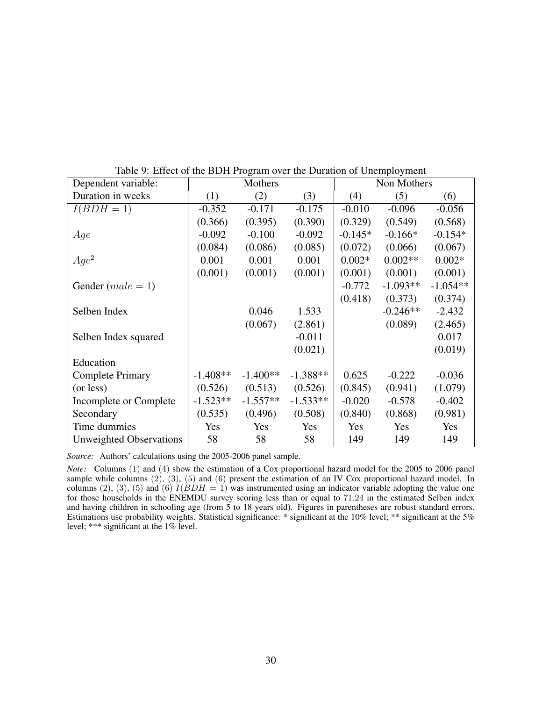| Dependent variable:            |            | Mothers    |            |           | Non Mothers |            |
|--------------------------------|------------|------------|------------|-----------|-------------|------------|
| Duration in weeks              | (1)        | (2)        | (3)        | (4)       | (5)         | (6)        |
| $I(BDH=1)$                     | $-0.352$   | $-0.171$   | $-0.175$   | $-0.010$  | $-0.096$    | $-0.056$   |
|                                | (0.366)    | (0.395)    | (0.390)    | (0.329)   | (0.549)     | (0.568)    |
| Age                            | $-0.092$   | $-0.100$   | $-0.092$   | $-0.145*$ | $-0.166*$   | $-0.154*$  |
|                                | (0.084)    | (0.086)    | (0.085)    | (0.072)   | (0.066)     | (0.067)    |
| $Age^2$                        | 0.001      | 0.001      | 0.001      | $0.002*$  | $0.002**$   | $0.002*$   |
|                                | (0.001)    | (0.001)    | (0.001)    | (0.001)   | (0.001)     | (0.001)    |
| Gender $(male = 1)$            |            |            |            | $-0.772$  | $-1.093**$  | $-1.054**$ |
|                                |            |            |            | (0.418)   | (0.373)     | (0.374)    |
| Selben Index                   |            | 0.046      | 1.533      |           | $-0.246**$  | $-2.432$   |
|                                |            | (0.067)    | (2.861)    |           | (0.089)     | (2.465)    |
| Selben Index squared           |            |            | $-0.011$   |           |             | 0.017      |
|                                |            |            | (0.021)    |           |             | (0.019)    |
| Education                      |            |            |            |           |             |            |
| <b>Complete Primary</b>        | $-1.408**$ | $-1.400**$ | $-1.388**$ | 0.625     | $-0.222$    | $-0.036$   |
| (or less)                      | (0.526)    | (0.513)    | (0.526)    | (0.845)   | (0.941)     | (1.079)    |
| Incomplete or Complete         | $-1.523**$ | $-1.557**$ | $-1.533**$ | $-0.020$  | $-0.578$    | $-0.402$   |
| Secondary                      | (0.535)    | (0.496)    | (0.508)    | (0.840)   | (0.868)     | (0.981)    |
| Time dummies                   | Yes        | Yes        | Yes        | Yes       | Yes         | Yes        |
| <b>Unweighted Observations</b> | 58         | 58         | 58         | 149       | 149         | 149        |

<span id="page-29-0"></span>Table 9: Effect of the BDH Program over the Duration of Unemployment

*Source:* Authors' calculations using the 2005-2006 panel sample.

*Note:* Columns (1) and (4) show the estimation of a Cox proportional hazard model for the 2005 to 2006 panel sample while columns  $(2)$ ,  $(3)$ ,  $(5)$  and  $(6)$  present the estimation of an IV Cox proportional hazard model. In columns (2), (3), (5) and (6)  $I(BDH = 1)$  was instrumented using an indicator variable adopting the value one for those households in the ENEMDU survey scoring less than or equal to 71.24 in the estimated Selben index and having children in schooling age (from  $5$  to 18 years old). Figures in parentheses are robust standard errors. Estimations use probability weights. Statistical significance: \* significant at the 10% level; \*\* significant at the 5% level; \*\*\* significant at the 1% level.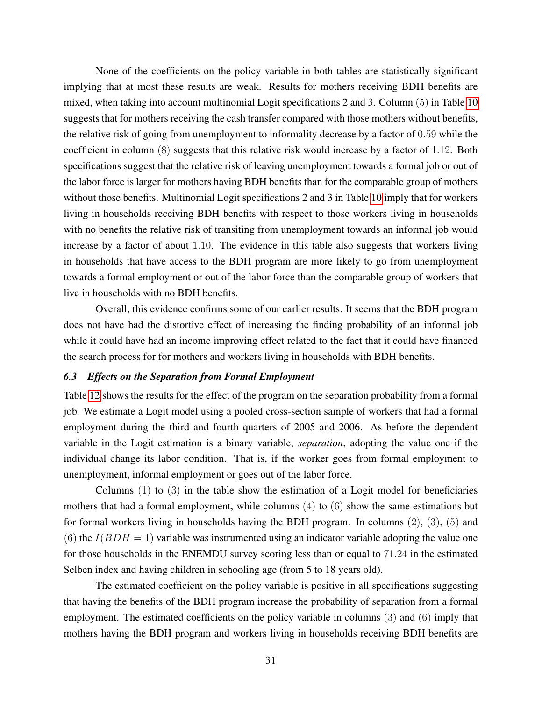None of the coefficients on the policy variable in both tables are statistically significant implying that at most these results are weak. Results for mothers receiving BDH benefits are mixed, when taking into account multinomial Logit specifications 2 and 3. Column (5) in Table [10](#page-31-0) suggests that for mothers receiving the cash transfer compared with those mothers without benefits, the relative risk of going from unemployment to informality decrease by a factor of 0.59 while the coefficient in column (8) suggests that this relative risk would increase by a factor of 1.12. Both specifications suggest that the relative risk of leaving unemployment towards a formal job or out of the labor force is larger for mothers having BDH benefits than for the comparable group of mothers without those benefits. Multinomial Logit specifications 2 and 3 in Table [10](#page-31-0) imply that for workers living in households receiving BDH benefits with respect to those workers living in households with no benefits the relative risk of transiting from unemployment towards an informal job would increase by a factor of about 1.10. The evidence in this table also suggests that workers living in households that have access to the BDH program are more likely to go from unemployment towards a formal employment or out of the labor force than the comparable group of workers that live in households with no BDH benefits.

Overall, this evidence confirms some of our earlier results. It seems that the BDH program does not have had the distortive effect of increasing the finding probability of an informal job while it could have had an income improving effect related to the fact that it could have financed the search process for for mothers and workers living in households with BDH benefits.

## *6.3 Effects on the Separation from Formal Employment*

Table [12](#page-34-0) shows the results for the effect of the program on the separation probability from a formal job. We estimate a Logit model using a pooled cross-section sample of workers that had a formal employment during the third and fourth quarters of 2005 and 2006. As before the dependent variable in the Logit estimation is a binary variable, *separation*, adopting the value one if the individual change its labor condition. That is, if the worker goes from formal employment to unemployment, informal employment or goes out of the labor force.

Columns  $(1)$  to  $(3)$  in the table show the estimation of a Logit model for beneficiaries mothers that had a formal employment, while columns (4) to (6) show the same estimations but for formal workers living in households having the BDH program. In columns (2), (3), (5) and (6) the  $I(BDH = 1)$  variable was instrumented using an indicator variable adopting the value one for those households in the ENEMDU survey scoring less than or equal to 71.24 in the estimated Selben index and having children in schooling age (from 5 to 18 years old).

The estimated coefficient on the policy variable is positive in all specifications suggesting that having the benefits of the BDH program increase the probability of separation from a formal employment. The estimated coefficients on the policy variable in columns (3) and (6) imply that mothers having the BDH program and workers living in households receiving BDH benefits are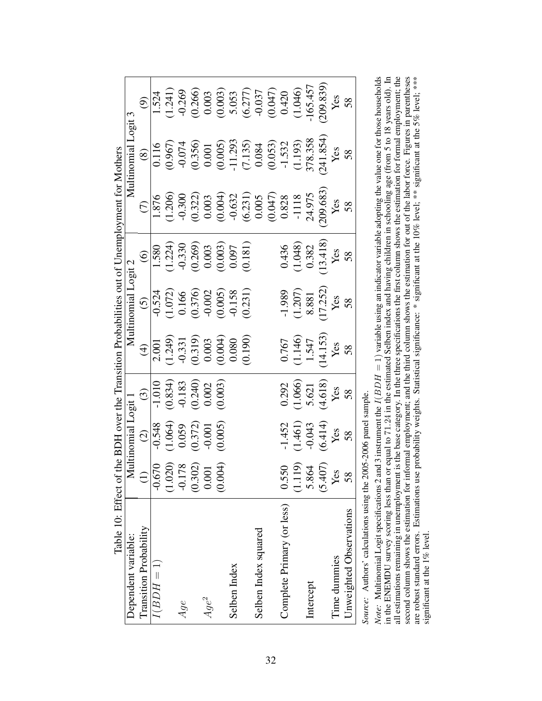<span id="page-31-0"></span>

| Table 10: Effect of        |                                                                                     |                                                                                          |                                                                                                         |                                                                                                                                                                                                                                                                                                                        |                                                                                                                                                                                        |                                                                                                                                | the BDH over the Transition Probabilities out of Unemployment for Mothers                                                                                                                                                                                                                         |                                                                                                                                                                                                                                                                                                     |                                                                                                                                                                                         |
|----------------------------|-------------------------------------------------------------------------------------|------------------------------------------------------------------------------------------|---------------------------------------------------------------------------------------------------------|------------------------------------------------------------------------------------------------------------------------------------------------------------------------------------------------------------------------------------------------------------------------------------------------------------------------|----------------------------------------------------------------------------------------------------------------------------------------------------------------------------------------|--------------------------------------------------------------------------------------------------------------------------------|---------------------------------------------------------------------------------------------------------------------------------------------------------------------------------------------------------------------------------------------------------------------------------------------------|-----------------------------------------------------------------------------------------------------------------------------------------------------------------------------------------------------------------------------------------------------------------------------------------------------|-----------------------------------------------------------------------------------------------------------------------------------------------------------------------------------------|
| Dependent variable:        |                                                                                     | Multinomial Logit 1                                                                      |                                                                                                         |                                                                                                                                                                                                                                                                                                                        | Multinomial Logit 2                                                                                                                                                                    |                                                                                                                                |                                                                                                                                                                                                                                                                                                   | Multinomial                                                                                                                                                                                                                                                                                         | Logit 3                                                                                                                                                                                 |
| Transition Probability     |                                                                                     | $\begin{array}{c} (2) \\ -0.548 \\ (1.064) \\ 0.059 \\ (0.372) \\ -0.001 \\ \end{array}$ |                                                                                                         |                                                                                                                                                                                                                                                                                                                        |                                                                                                                                                                                        |                                                                                                                                | $\widehat{C}$                                                                                                                                                                                                                                                                                     | $\circled{s}$                                                                                                                                                                                                                                                                                       |                                                                                                                                                                                         |
| $I(BDH=1)$                 |                                                                                     |                                                                                          |                                                                                                         |                                                                                                                                                                                                                                                                                                                        |                                                                                                                                                                                        |                                                                                                                                |                                                                                                                                                                                                                                                                                                   |                                                                                                                                                                                                                                                                                                     |                                                                                                                                                                                         |
|                            |                                                                                     |                                                                                          |                                                                                                         |                                                                                                                                                                                                                                                                                                                        |                                                                                                                                                                                        |                                                                                                                                |                                                                                                                                                                                                                                                                                                   |                                                                                                                                                                                                                                                                                                     |                                                                                                                                                                                         |
| Age                        |                                                                                     |                                                                                          |                                                                                                         |                                                                                                                                                                                                                                                                                                                        |                                                                                                                                                                                        |                                                                                                                                |                                                                                                                                                                                                                                                                                                   |                                                                                                                                                                                                                                                                                                     |                                                                                                                                                                                         |
|                            |                                                                                     |                                                                                          |                                                                                                         |                                                                                                                                                                                                                                                                                                                        |                                                                                                                                                                                        |                                                                                                                                |                                                                                                                                                                                                                                                                                                   |                                                                                                                                                                                                                                                                                                     |                                                                                                                                                                                         |
| $Age^2$                    |                                                                                     |                                                                                          |                                                                                                         |                                                                                                                                                                                                                                                                                                                        |                                                                                                                                                                                        |                                                                                                                                |                                                                                                                                                                                                                                                                                                   |                                                                                                                                                                                                                                                                                                     |                                                                                                                                                                                         |
|                            | $\begin{array}{r} 0.670 \\ -0.020 \\ -0.178 \\ 0.302 \\ 0.001 \\ 0.004 \end{array}$ |                                                                                          | $\begin{array}{c} (3) \\ \hline -1.010 \\ (0.834) \\ -0.183 \\ (0.240) \\ 0.002 \\ (0.003) \end{array}$ |                                                                                                                                                                                                                                                                                                                        |                                                                                                                                                                                        |                                                                                                                                |                                                                                                                                                                                                                                                                                                   |                                                                                                                                                                                                                                                                                                     |                                                                                                                                                                                         |
| Selben Index               |                                                                                     |                                                                                          |                                                                                                         |                                                                                                                                                                                                                                                                                                                        |                                                                                                                                                                                        |                                                                                                                                |                                                                                                                                                                                                                                                                                                   |                                                                                                                                                                                                                                                                                                     |                                                                                                                                                                                         |
|                            |                                                                                     |                                                                                          |                                                                                                         | $\begin{array}{r} (4) \\ 2.001 \\ (1.249) \\ -0.331 \\ (0.319) \\ 0.003 \\ (0.004) \\ 0.000 \\ (0.004) \\ (0.000) \\ (0.000) \\ (0.000) \\ (0.000) \\ (0.000) \\ (0.000) \\ (0.000) \\ (0.000) \\ (0.000) \\ (0.000) \\ (0.000) \\ (0.000) \\ (0.000) \\ (0.000) \\ (0.000) \\ (0.000) \\ (0.000) \\ (0.000) \\ (0.00$ | $\begin{array}{c} (5) \\[-4pt] -0.524 \\[-4pt] (1.072) \\[-4pt] 0.166 \\[-4pt] (0.376) \\[-4pt] 0.002 \\[-4pt] (0.005) \\[-4pt] (0.037) \\[-4pt] (0.031) \\[-4pt] (0.231) \end{array}$ | $\begin{array}{r} (6) \\ \hline 1.580 \\ (1.224) \\ 0.330 \\ (0.269) \\ 0.003 \\ (0.003) \\ (0.007) \\ (0.007) \\ \end{array}$ |                                                                                                                                                                                                                                                                                                   |                                                                                                                                                                                                                                                                                                     |                                                                                                                                                                                         |
| Selben Index squared       |                                                                                     |                                                                                          |                                                                                                         |                                                                                                                                                                                                                                                                                                                        |                                                                                                                                                                                        |                                                                                                                                |                                                                                                                                                                                                                                                                                                   |                                                                                                                                                                                                                                                                                                     |                                                                                                                                                                                         |
|                            |                                                                                     |                                                                                          |                                                                                                         |                                                                                                                                                                                                                                                                                                                        |                                                                                                                                                                                        |                                                                                                                                |                                                                                                                                                                                                                                                                                                   |                                                                                                                                                                                                                                                                                                     |                                                                                                                                                                                         |
| Complete Primary (or less) | 0.550                                                                               |                                                                                          |                                                                                                         |                                                                                                                                                                                                                                                                                                                        |                                                                                                                                                                                        |                                                                                                                                |                                                                                                                                                                                                                                                                                                   |                                                                                                                                                                                                                                                                                                     |                                                                                                                                                                                         |
|                            |                                                                                     |                                                                                          |                                                                                                         |                                                                                                                                                                                                                                                                                                                        |                                                                                                                                                                                        |                                                                                                                                |                                                                                                                                                                                                                                                                                                   |                                                                                                                                                                                                                                                                                                     |                                                                                                                                                                                         |
| Intercept                  |                                                                                     |                                                                                          |                                                                                                         |                                                                                                                                                                                                                                                                                                                        |                                                                                                                                                                                        |                                                                                                                                |                                                                                                                                                                                                                                                                                                   |                                                                                                                                                                                                                                                                                                     |                                                                                                                                                                                         |
|                            | $(1.119)$<br>5.864<br>5.407)<br>Yes                                                 | $-1.452$<br>(1.461)<br>(0.414)<br>(6.414)<br>Yes<br>Yes                                  | $0.292$<br>$(1.066)$<br>$5.621$<br>$(4.618)$<br>Yes<br>Yes                                              | $0.767$<br>(1.146)<br>(1.547<br>1.547<br>Yes<br>Yes<br>S8                                                                                                                                                                                                                                                              | $\begin{array}{c} -1.989 \\ (1.207) \\ 8.881 \\ (1.7.252) \\ \text{Yes} \\ \text{Yes} \\ \text{Yes} \end{array}$                                                                       | $0.436$<br>$(1.048)$<br>$0.382$<br>$(13.418)$<br>Yes<br>Yes<br>S8                                                              | $\begin{array}{r} \hline 1.876 \\ 1.206 \\ 0.303 \\ 0.032 \\ 0.003 \\ 0.004 \\ 0.005 \\ 0.005 \\ 0.004 \\ 0.005 \\ 0.004 \\ 0.005 \\ 0.004 \\ 0.005 \\ 0.003 \\ 0.0083 \\ 0.0083 \\ 0.0083 \\ 0.00083 \\ 0.00083 \\ 0.00083 \\ 0.00083 \\ 0.00083 \\ 0.00083 \\ 0.00083 \\ 0.00083 \\ 0.00083 \\$ | $\begin{array}{r} 116 \\ 0.967 \\ 0.074 \\ 0.001 \\ 0.0005 \\ 0.0005 \\ 0.005 \\ 0.0034 \\ 0.034 \\ 0.034 \\ 0.034 \\ 0.034 \\ 0.034 \\ 0.033 \\ 0.034 \\ 0.033 \\ 0.034 \\ 0.034 \\ 0.033 \\ 0.034 \\ 0.034 \\ 0.034 \\ 0.034 \\ 0.034 \\ 0.034 \\ 0.034 \\ 0.034 \\ 0.034 \\ 0.034 \\ 0.034 \\ 0$ | $\begin{array}{r} (9) \\ 1.524 \\ -1.241) \\ -0.266 \\ 0.003 \\ 0.003 \\ 0.033 \\ 0.037 \\ -0.037 \\ 0.042 \\ -165.457 \\ -165.457 \\ 209.839) \\ \text{Yes} \\ \text{Yes} \end{array}$ |
| Time dummies               |                                                                                     |                                                                                          |                                                                                                         |                                                                                                                                                                                                                                                                                                                        |                                                                                                                                                                                        |                                                                                                                                |                                                                                                                                                                                                                                                                                                   |                                                                                                                                                                                                                                                                                                     |                                                                                                                                                                                         |
| Unweighted Observations    | 58                                                                                  |                                                                                          |                                                                                                         |                                                                                                                                                                                                                                                                                                                        |                                                                                                                                                                                        |                                                                                                                                |                                                                                                                                                                                                                                                                                                   |                                                                                                                                                                                                                                                                                                     |                                                                                                                                                                                         |
|                            |                                                                                     |                                                                                          |                                                                                                         |                                                                                                                                                                                                                                                                                                                        |                                                                                                                                                                                        |                                                                                                                                |                                                                                                                                                                                                                                                                                                   |                                                                                                                                                                                                                                                                                                     |                                                                                                                                                                                         |

Source: Authors' calculations using the 2005-2006 panel sample. *Source:* Authors' calculations using the 2005-2006 panel sample.

in the ENEMDU survey scoring less than or equal to 71.24 in the estimated Selben index and having children in schooling age (from 5 to 18 years old). In all estimations remaining in unemployment is the base category. In th second column shows the estimation for informal employment; and the third column shows the estimation for out of the labor force. Figures in parentheses are robust standard errors. Estimations use probability weights. Stat Note: Multinomial Logit specifications 2 and 3 instrument the  $I(BDH = 1)$  variable using an indicator variable adopting the value one for those households in the ENEMDU survey scoring less than or equal to 71.24 in the estimated Selben index and having children in schooling age (from 5 to 18 years old). In all estimations remaining in unemployment is the base category. In the three specifications the first column shows the estimation for formal employment; the  $I(BDH = 1)$  variable using an indicator variable adopting the value one for those households the action of  $\alpha$ second column shows the estimation for informal employment; and the third column shows the estimation for out of the labor force. Figures in parentheses are robust standard errors. Estimations use probability weights. Statistical significance: \* significant at the 10% level; \*\* significant at the 5% level; \*\*\* *Note:* Multinomial Logit specifications 2 and 3 instrument the significant at the 1% level. significant at the 1% level.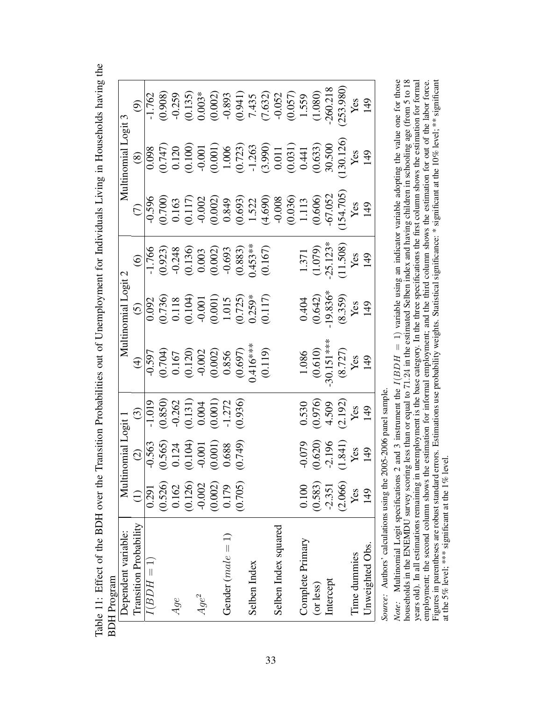| H Program                     |                 |                                                                                                                                |                                                                                                        |                                                                                                                            |                                                                                                                            |                                                                                            |                                                                                                                                                                                                                                                                                                                                                              |                                                                                                                                                                                                                                                                                                     |                                                                                                                                                                                                                                                                                         |
|-------------------------------|-----------------|--------------------------------------------------------------------------------------------------------------------------------|--------------------------------------------------------------------------------------------------------|----------------------------------------------------------------------------------------------------------------------------|----------------------------------------------------------------------------------------------------------------------------|--------------------------------------------------------------------------------------------|--------------------------------------------------------------------------------------------------------------------------------------------------------------------------------------------------------------------------------------------------------------------------------------------------------------------------------------------------------------|-----------------------------------------------------------------------------------------------------------------------------------------------------------------------------------------------------------------------------------------------------------------------------------------------------|-----------------------------------------------------------------------------------------------------------------------------------------------------------------------------------------------------------------------------------------------------------------------------------------|
| Dependent variable:           |                 | Multinomial Logit 1                                                                                                            |                                                                                                        |                                                                                                                            | Multinomial Logit 2                                                                                                        |                                                                                            |                                                                                                                                                                                                                                                                                                                                                              | Multinomial Logit 3                                                                                                                                                                                                                                                                                 |                                                                                                                                                                                                                                                                                         |
| <b>Transition Probability</b> | $\widehat{\Xi}$ |                                                                                                                                | $\odot$                                                                                                | $\widehat{\mathcal{F}}$                                                                                                    | $\widetilde{S}$                                                                                                            | $\odot$                                                                                    | $\widehat{C}$                                                                                                                                                                                                                                                                                                                                                | $\circledast$                                                                                                                                                                                                                                                                                       | $\widehat{\mathcal{O}}$                                                                                                                                                                                                                                                                 |
| $I(BDH=1)$                    | 0.291           |                                                                                                                                |                                                                                                        |                                                                                                                            |                                                                                                                            |                                                                                            |                                                                                                                                                                                                                                                                                                                                                              |                                                                                                                                                                                                                                                                                                     |                                                                                                                                                                                                                                                                                         |
|                               | (0.526)         |                                                                                                                                |                                                                                                        |                                                                                                                            |                                                                                                                            |                                                                                            |                                                                                                                                                                                                                                                                                                                                                              |                                                                                                                                                                                                                                                                                                     |                                                                                                                                                                                                                                                                                         |
| Age                           | 0.162           |                                                                                                                                |                                                                                                        |                                                                                                                            |                                                                                                                            |                                                                                            |                                                                                                                                                                                                                                                                                                                                                              |                                                                                                                                                                                                                                                                                                     |                                                                                                                                                                                                                                                                                         |
|                               | (0.126)         |                                                                                                                                |                                                                                                        |                                                                                                                            |                                                                                                                            |                                                                                            |                                                                                                                                                                                                                                                                                                                                                              |                                                                                                                                                                                                                                                                                                     |                                                                                                                                                                                                                                                                                         |
| $Age^2$                       | $-0.002$        |                                                                                                                                |                                                                                                        |                                                                                                                            |                                                                                                                            |                                                                                            |                                                                                                                                                                                                                                                                                                                                                              |                                                                                                                                                                                                                                                                                                     |                                                                                                                                                                                                                                                                                         |
|                               | (0.002)         | $\begin{array}{c} (2) \\ \hline 10.565 \\ (0.565) \\ 0.124 \\ (0.104) \\ (0.104) \\ (0.001) \\ (0.001) \\ (0.003) \end{array}$ | $\frac{100}{(0.850)}$<br>$\frac{0.262}{(0.131)}$<br>$\frac{0.004}{(0.001)}$<br>$\frac{0.004}{(0.001)}$ | $\begin{array}{r l} \hline 0.597 \\ 0.704) \\ 0.167 \\ 0.020 \\ 0.002 \\ 0.002 \\ 0.856 \\ 0.697) \\ 0.003 \\ \end{array}$ |                                                                                                                            |                                                                                            |                                                                                                                                                                                                                                                                                                                                                              |                                                                                                                                                                                                                                                                                                     |                                                                                                                                                                                                                                                                                         |
| Gender $(male = 1)$           | 0.179           |                                                                                                                                |                                                                                                        |                                                                                                                            |                                                                                                                            |                                                                                            |                                                                                                                                                                                                                                                                                                                                                              |                                                                                                                                                                                                                                                                                                     |                                                                                                                                                                                                                                                                                         |
|                               | (0.705)         | (0.749)                                                                                                                        | (0.936)                                                                                                |                                                                                                                            |                                                                                                                            |                                                                                            |                                                                                                                                                                                                                                                                                                                                                              |                                                                                                                                                                                                                                                                                                     |                                                                                                                                                                                                                                                                                         |
| Selben Index                  |                 |                                                                                                                                |                                                                                                        |                                                                                                                            |                                                                                                                            |                                                                                            |                                                                                                                                                                                                                                                                                                                                                              |                                                                                                                                                                                                                                                                                                     |                                                                                                                                                                                                                                                                                         |
|                               |                 |                                                                                                                                |                                                                                                        | (0.119)                                                                                                                    | $\begin{array}{r} 0.092 \\ (0.736) \\ 0.118 \\ (0.104) \\ (0.001) \\ (0.001) \\ 1.015 \\ (0.725)^* \\ (0.117) \end{array}$ | $\frac{11,766}{(0.923)}$<br>(0.923)<br>(0.136)<br>(0.136)<br>(0.136)<br>(0.157)<br>(0.167) | $\overline{958}$<br>$\overline{900}$<br>$\overline{0.100}$<br>$\overline{0.002}$<br>$\overline{0.002}$<br>$\overline{0.002}$<br>$\overline{0.000}$<br>$\overline{0.000}$<br>$\overline{0.000}$<br>$\overline{0.000}$<br>$\overline{0.000}$<br>$\overline{0.000}$<br>$\overline{0.000}$<br>$\overline{0.000}$<br>$\overline{0.000}$<br>$\overline{0.000}$<br> | $\begin{array}{r} 0.098 \\ 0.747) \\ 0.120 \\ 0.001 \\ 0.001 \\ 0.001 \\ 0.001 \\ 0.001 \\ 0.001 \\ 0.001 \\ 0.011 \\ 0.031 \\ 0.033 \\ 0.000 \\ 0.031 \\ 0.030 \\ 0.030 \\ 0.030 \\ 0.030 \\ 0.030 \\ 0.030 \\ 0.030 \\ 0.030 \\ 0.030 \\ 0.030 \\ 0.030 \\ 0.030 \\ 0.030 \\ 0.030 \\ 0.030 \\ 0$ | $\begin{array}{r} 1.762 \\ 1.762 \\ 0.908 \\ 0.039 \\ 0.003^* \\ 0.003^* \\ 0.003^* \\ 0.003^* \\ 0.003^* \\ 0.003^* \\ 0.003^* \\ 0.003^* \\ 0.003^* \\ 0.003^* \\ 0.003^* \\ 0.003^* \\ 0.003^* \\ 0.003^* \\ 0.003^* \\ 0.003^* \\ 0.003^* \\ 0.003^* \\ 0.003^* \\ 0.003^* \\ 0.00$ |
| Selben Index squared          |                 |                                                                                                                                |                                                                                                        |                                                                                                                            |                                                                                                                            |                                                                                            |                                                                                                                                                                                                                                                                                                                                                              |                                                                                                                                                                                                                                                                                                     |                                                                                                                                                                                                                                                                                         |
|                               |                 |                                                                                                                                |                                                                                                        |                                                                                                                            |                                                                                                                            |                                                                                            |                                                                                                                                                                                                                                                                                                                                                              |                                                                                                                                                                                                                                                                                                     |                                                                                                                                                                                                                                                                                         |
| Complete Primary              | 0.100           | $-0.079$                                                                                                                       |                                                                                                        |                                                                                                                            |                                                                                                                            |                                                                                            |                                                                                                                                                                                                                                                                                                                                                              |                                                                                                                                                                                                                                                                                                     |                                                                                                                                                                                                                                                                                         |
| (or less)                     | (0.583)         |                                                                                                                                |                                                                                                        |                                                                                                                            |                                                                                                                            |                                                                                            |                                                                                                                                                                                                                                                                                                                                                              |                                                                                                                                                                                                                                                                                                     |                                                                                                                                                                                                                                                                                         |
| Intercept                     | $-2.351$        |                                                                                                                                |                                                                                                        |                                                                                                                            |                                                                                                                            |                                                                                            |                                                                                                                                                                                                                                                                                                                                                              |                                                                                                                                                                                                                                                                                                     |                                                                                                                                                                                                                                                                                         |
|                               | (2.066)         | $(0.620)$<br>$-2.196$<br>$(1.841)$<br>Yes<br>Yes                                                                               | $0.530$<br>$(0.976)$<br>$4.509$<br>$(2.192)$<br>Yes<br>Yes                                             | $1.086$<br>$(0.610)$<br>$30.151***$<br>$(8.727)$<br>Yes<br>Yes                                                             | $0.404$<br>$(0.642)$<br>$(19.836^*$<br>$(8.359)$<br>Yes<br>Yes                                                             | 1.371<br>(1.079)<br>(1.53*<br>25.123*<br>Ves<br>Yes<br>Rep                                 | 154.705)<br>Yes                                                                                                                                                                                                                                                                                                                                              |                                                                                                                                                                                                                                                                                                     |                                                                                                                                                                                                                                                                                         |
| Time dummies                  | Yes             |                                                                                                                                |                                                                                                        |                                                                                                                            |                                                                                                                            |                                                                                            |                                                                                                                                                                                                                                                                                                                                                              |                                                                                                                                                                                                                                                                                                     |                                                                                                                                                                                                                                                                                         |
| Unweighted Obs.               | 149             |                                                                                                                                |                                                                                                        |                                                                                                                            |                                                                                                                            |                                                                                            | 149                                                                                                                                                                                                                                                                                                                                                          | 149                                                                                                                                                                                                                                                                                                 | $(253.980)$<br>Yes<br>149                                                                                                                                                                                                                                                               |

<span id="page-32-0"></span>Table 11: Effect of the BDH over the Transition Probabilities out of Unemployment for Individuals Living in Households having the Table 11: Effect of the BDH over the Transition Probabilities out of Unemployment for Individuals Living in Households having the BD<sub>I</sub>

Source: Authors' calculations using the 2005-2006 panel sample. *Source:* Authors' calculations using the 2005-2006 panel sample.

households in the ENEMDU survey scoring less than or equal to 71.24 in the estimated Selben index and having children in schooling age (from 5 to 18 years old). In all estimations remaining in unemployment is the base category. In the three specifications the first column shows the estimation for formal employment; the second column shows the estimation for column show Multinomial Logit specifications 2 and 3 instrument the  $I(BDH = 1)$  variable using an indicator variable adopting the value one for those Figures in parentheses are robust standard errors. Estimations use probability weights. Statistical significance: \* significant at the 10% level; \*\* significant  $I(BDH = 1)$  variable using an indicator variable adopting the value one for those  $12/4$  in the action calculation control and  $\epsilon$  allows and housing controller in cohonistic controller the set of 18 households in the ENEMDU survey scoring less than or equal to 71.24 in the estimated Selben index and having children in schooling age (from 5 to 18 years old). In all estimations remaining in unemployment is the base category. In the three specifications the first column shows the estimation for formal Figures in parentheses are robust standard errors. Estimations use probability weights. Statistical significance: \* significant at the 10% level; \*\* significant employment; the second column shows the estimation for informal employment; and the third column shows the estimation for out of the labor force. *Note:* Multinomial Logit specifications 2 and 3 instrument the at the 5% level; \*\*\* significant at the 1% level. at the 5% level; \*\*\* significant at the 1% level. Note: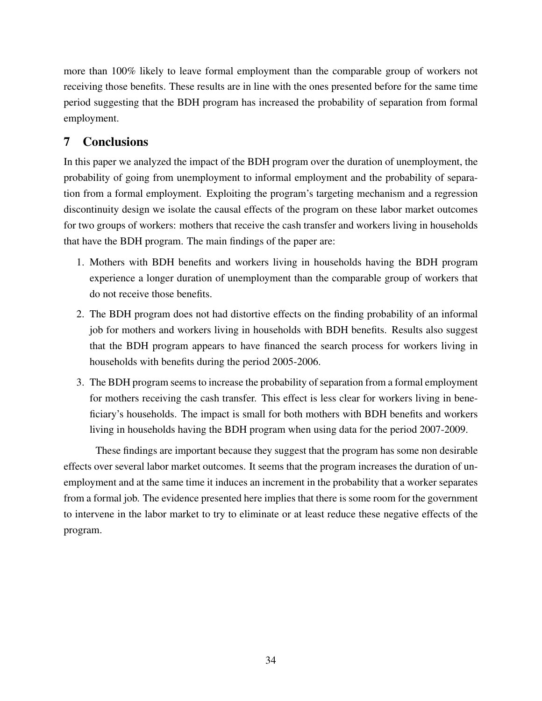more than 100% likely to leave formal employment than the comparable group of workers not receiving those benefits. These results are in line with the ones presented before for the same time period suggesting that the BDH program has increased the probability of separation from formal employment.

# 7 Conclusions

In this paper we analyzed the impact of the BDH program over the duration of unemployment, the probability of going from unemployment to informal employment and the probability of separation from a formal employment. Exploiting the program's targeting mechanism and a regression discontinuity design we isolate the causal effects of the program on these labor market outcomes for two groups of workers: mothers that receive the cash transfer and workers living in households that have the BDH program. The main findings of the paper are:

- 1. Mothers with BDH benefits and workers living in households having the BDH program experience a longer duration of unemployment than the comparable group of workers that do not receive those benefits.
- 2. The BDH program does not had distortive effects on the finding probability of an informal job for mothers and workers living in households with BDH benefits. Results also suggest that the BDH program appears to have financed the search process for workers living in households with benefits during the period 2005-2006.
- 3. The BDH program seems to increase the probability of separation from a formal employment for mothers receiving the cash transfer. This effect is less clear for workers living in beneficiary's households. The impact is small for both mothers with BDH benefits and workers living in households having the BDH program when using data for the period 2007-2009.

These findings are important because they suggest that the program has some non desirable effects over several labor market outcomes. It seems that the program increases the duration of unemployment and at the same time it induces an increment in the probability that a worker separates from a formal job. The evidence presented here implies that there is some room for the government to intervene in the labor market to try to eliminate or at least reduce these negative effects of the program.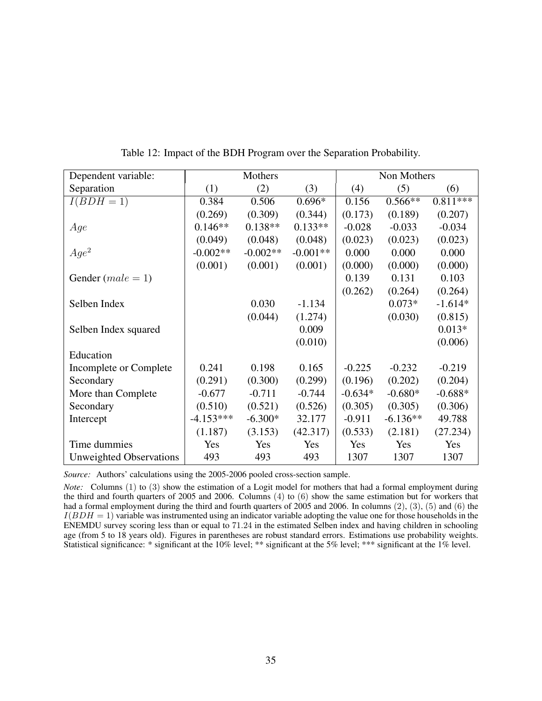| Dependent variable:            |             | Mothers    |            |           | Non Mothers |            |
|--------------------------------|-------------|------------|------------|-----------|-------------|------------|
| Separation                     | (1)         | (2)        | (3)        | (4)       | (5)         | (6)        |
| $I(BDH=1)$                     | 0.384       | 0.506      | $0.696*$   | 0.156     | $0.566**$   | $0.811***$ |
|                                | (0.269)     | (0.309)    | (0.344)    | (0.173)   | (0.189)     | (0.207)    |
| Age                            | $0.146**$   | $0.138**$  | $0.133**$  | $-0.028$  | $-0.033$    | $-0.034$   |
|                                | (0.049)     | (0.048)    | (0.048)    | (0.023)   | (0.023)     | (0.023)    |
| $Age^2$                        | $-0.002**$  | $-0.002**$ | $-0.001**$ | 0.000     | 0.000       | 0.000      |
|                                | (0.001)     | (0.001)    | (0.001)    | (0.000)   | (0.000)     | (0.000)    |
| Gender $(male = 1)$            |             |            |            | 0.139     | 0.131       | 0.103      |
|                                |             |            |            | (0.262)   | (0.264)     | (0.264)    |
| Selben Index                   |             | 0.030      | $-1.134$   |           | $0.073*$    | $-1.614*$  |
|                                |             | (0.044)    | (1.274)    |           | (0.030)     | (0.815)    |
| Selben Index squared           |             |            | 0.009      |           |             | $0.013*$   |
|                                |             |            | (0.010)    |           |             | (0.006)    |
| Education                      |             |            |            |           |             |            |
| Incomplete or Complete         | 0.241       | 0.198      | 0.165      | $-0.225$  | $-0.232$    | $-0.219$   |
| Secondary                      | (0.291)     | (0.300)    | (0.299)    | (0.196)   | (0.202)     | (0.204)    |
| More than Complete             | $-0.677$    | $-0.711$   | $-0.744$   | $-0.634*$ | $-0.680*$   | $-0.688*$  |
| Secondary                      | (0.510)     | (0.521)    | (0.526)    | (0.305)   | (0.305)     | (0.306)    |
| Intercept                      | $-4.153***$ | $-6.300*$  | 32.177     | $-0.911$  | $-6.136**$  | 49.788     |
|                                | (1.187)     | (3.153)    | (42.317)   | (0.533)   | (2.181)     | (27.234)   |
| Time dummies                   | Yes         | Yes        | Yes        | Yes       | Yes         | Yes        |
| <b>Unweighted Observations</b> | 493         | 493        | 493        | 1307      | 1307        | 1307       |

<span id="page-34-0"></span>Table 12: Impact of the BDH Program over the Separation Probability.

*Source:* Authors' calculations using the 2005-2006 pooled cross-section sample.

*Note:* Columns (1) to (3) show the estimation of a Logit model for mothers that had a formal employment during the third and fourth quarters of 2005 and 2006. Columns (4) to (6) show the same estimation but for workers that had a formal employment during the third and fourth quarters of 2005 and 2006. In columns (2), (3), (5) and (6) the  $I(BDH = 1)$  variable was instrumented using an indicator variable adopting the value one for those households in the ENEMDU survey scoring less than or equal to 71.24 in the estimated Selben index and having children in schooling age (from 5 to 18 years old). Figures in parentheses are robust standard errors. Estimations use probability weights. Statistical significance: \* significant at the 10% level; \*\* significant at the 5% level; \*\*\* significant at the 1% level.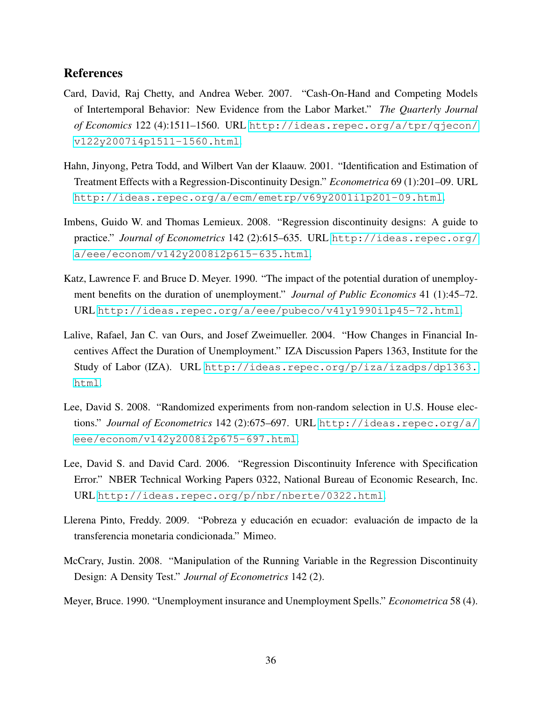## References

- <span id="page-35-5"></span>Card, David, Raj Chetty, and Andrea Weber. 2007. "Cash-On-Hand and Competing Models of Intertemporal Behavior: New Evidence from the Labor Market." *The Quarterly Journal of Economics* 122 (4):1511–1560. URL [http://ideas.repec.org/a/tpr/qjecon/](http://ideas.repec.org/a/tpr/qjecon/v122y2007i4p1511-1560.html) [v122y2007i4p1511-1560.html](http://ideas.repec.org/a/tpr/qjecon/v122y2007i4p1511-1560.html).
- <span id="page-35-7"></span>Hahn, Jinyong, Petra Todd, and Wilbert Van der Klaauw. 2001. "Identification and Estimation of Treatment Effects with a Regression-Discontinuity Design." *Econometrica* 69 (1):201–09. URL <http://ideas.repec.org/a/ecm/emetrp/v69y2001i1p201-09.html>.
- <span id="page-35-1"></span>Imbens, Guido W. and Thomas Lemieux. 2008. "Regression discontinuity designs: A guide to practice." *Journal of Econometrics* 142 (2):615–635. URL [http://ideas.repec.org/](http://ideas.repec.org/a/eee/econom/v142y2008i2p615-635.html) [a/eee/econom/v142y2008i2p615-635.html](http://ideas.repec.org/a/eee/econom/v142y2008i2p615-635.html).
- <span id="page-35-4"></span>Katz, Lawrence F. and Bruce D. Meyer. 1990. "The impact of the potential duration of unemployment benefits on the duration of unemployment." *Journal of Public Economics* 41 (1):45–72. URL <http://ideas.repec.org/a/eee/pubeco/v41y1990i1p45-72.html>.
- <span id="page-35-6"></span>Lalive, Rafael, Jan C. van Ours, and Josef Zweimueller. 2004. "How Changes in Financial Incentives Affect the Duration of Unemployment." IZA Discussion Papers 1363, Institute for the Study of Labor (IZA). URL [http://ideas.repec.org/p/iza/izadps/dp1363.](http://ideas.repec.org/p/iza/izadps/dp1363.html) [html](http://ideas.repec.org/p/iza/izadps/dp1363.html).
- <span id="page-35-2"></span>Lee, David S. 2008. "Randomized experiments from non-random selection in U.S. House elections." *Journal of Econometrics* 142 (2):675–697. URL [http://ideas.repec.org/a/](http://ideas.repec.org/a/eee/econom/v142y2008i2p675-697.html) [eee/econom/v142y2008i2p675-697.html](http://ideas.repec.org/a/eee/econom/v142y2008i2p675-697.html).
- <span id="page-35-8"></span>Lee, David S. and David Card. 2006. "Regression Discontinuity Inference with Specification Error." NBER Technical Working Papers 0322, National Bureau of Economic Research, Inc. URL <http://ideas.repec.org/p/nbr/nberte/0322.html>.
- <span id="page-35-0"></span>Llerena Pinto, Freddy. 2009. "Pobreza y educación en ecuador: evaluación de impacto de la transferencia monetaria condicionada." Mimeo.
- <span id="page-35-9"></span>McCrary, Justin. 2008. "Manipulation of the Running Variable in the Regression Discontinuity Design: A Density Test." *Journal of Econometrics* 142 (2).
- <span id="page-35-3"></span>Meyer, Bruce. 1990. "Unemployment insurance and Unemployment Spells." *Econometrica* 58 (4).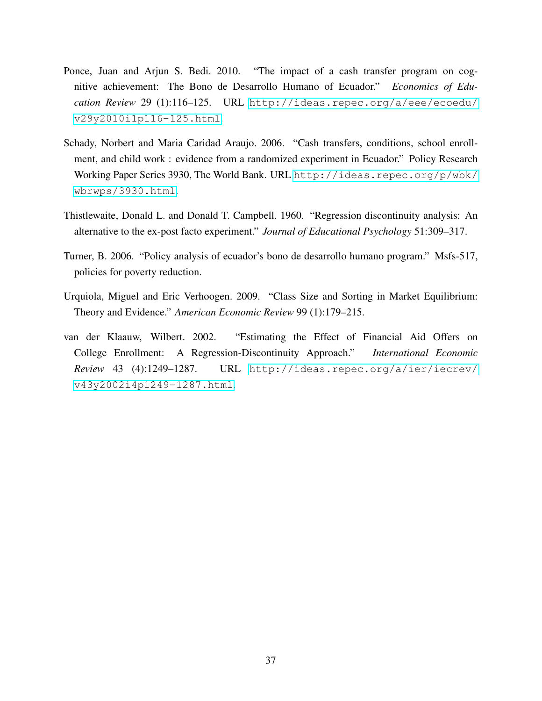- <span id="page-36-0"></span>Ponce, Juan and Arjun S. Bedi. 2010. "The impact of a cash transfer program on cognitive achievement: The Bono de Desarrollo Humano of Ecuador." *Economics of Education Review* 29 (1):116–125. URL [http://ideas.repec.org/a/eee/ecoedu/](http://ideas.repec.org/a/eee/ecoedu/v29y2010i1p116-125.html) [v29y2010i1p116-125.html](http://ideas.repec.org/a/eee/ecoedu/v29y2010i1p116-125.html).
- <span id="page-36-3"></span>Schady, Norbert and Maria Caridad Araujo. 2006. "Cash transfers, conditions, school enrollment, and child work : evidence from a randomized experiment in Ecuador." Policy Research Working Paper Series 3930, The World Bank. URL [http://ideas.repec.org/p/wbk/](http://ideas.repec.org/p/wbk/wbrwps/3930.html) [wbrwps/3930.html](http://ideas.repec.org/p/wbk/wbrwps/3930.html).
- <span id="page-36-2"></span>Thistlewaite, Donald L. and Donald T. Campbell. 1960. "Regression discontinuity analysis: An alternative to the ex-post facto experiment." *Journal of Educational Psychology* 51:309–317.
- <span id="page-36-1"></span>Turner, B. 2006. "Policy analysis of ecuador's bono de desarrollo humano program." Msfs-517, policies for poverty reduction.
- <span id="page-36-5"></span>Urquiola, Miguel and Eric Verhoogen. 2009. "Class Size and Sorting in Market Equilibrium: Theory and Evidence." *American Economic Review* 99 (1):179–215.
- <span id="page-36-4"></span>van der Klaauw, Wilbert. 2002. "Estimating the Effect of Financial Aid Offers on College Enrollment: A Regression-Discontinuity Approach." *International Economic Review* 43 (4):1249–1287. URL [http://ideas.repec.org/a/ier/iecrev/](http://ideas.repec.org/a/ier/iecrev/v43y2002i4p1249-1287.html) [v43y2002i4p1249-1287.html](http://ideas.repec.org/a/ier/iecrev/v43y2002i4p1249-1287.html).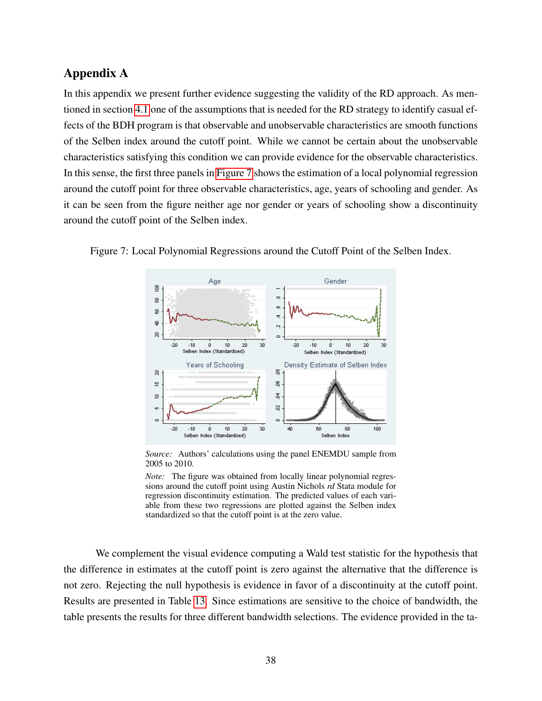# Appendix A

In this appendix we present further evidence suggesting the validity of the RD approach. As mentioned in section [4.1](#page-6-0) one of the assumptions that is needed for the RD strategy to identify casual effects of the BDH program is that observable and unobservable characteristics are smooth functions of the Selben index around the cutoff point. While we cannot be certain about the unobservable characteristics satisfying this condition we can provide evidence for the observable characteristics. In this sense, the first three panels in [Figure 7](#page-37-0) shows the estimation of a local polynomial regression around the cutoff point for three observable characteristics, age, years of schooling and gender. As it can be seen from the figure neither age nor gender or years of schooling show a discontinuity around the cutoff point of the Selben index.

<span id="page-37-0"></span>

Figure 7: Local Polynomial Regressions around the Cutoff Point of the Selben Index.

*Source:* Authors' calculations using the panel ENEMDU sample from 2005 to 2010.

*Note:* The figure was obtained from locally linear polynomial regressions around the cutoff point using Austin Nichols *rd* Stata module for regression discontinuity estimation. The predicted values of each variable from these two regressions are plotted against the Selben index standardized so that the cutoff point is at the zero value.

We complement the visual evidence computing a Wald test statistic for the hypothesis that the difference in estimates at the cutoff point is zero against the alternative that the difference is not zero. Rejecting the null hypothesis is evidence in favor of a discontinuity at the cutoff point. Results are presented in Table [13.](#page-38-0) Since estimations are sensitive to the choice of bandwidth, the table presents the results for three different bandwidth selections. The evidence provided in the ta-